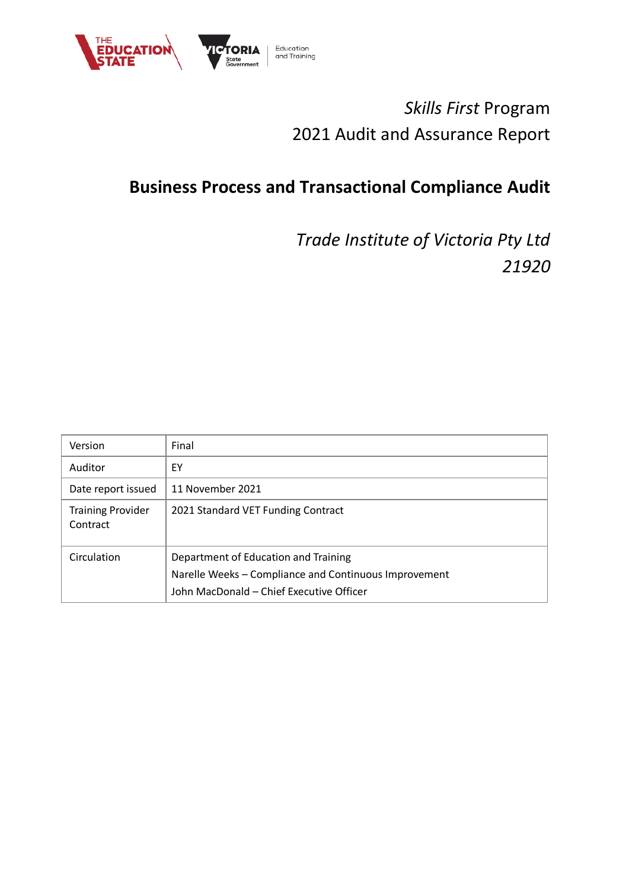

# *Skills First* Program 2021 Audit and Assurance Report

# **Business Process and Transactional Compliance Audit**

*Trade Institute of Victoria Pty Ltd 21920*

| Version                              | Final                                                                                                                                     |
|--------------------------------------|-------------------------------------------------------------------------------------------------------------------------------------------|
| Auditor                              | EY                                                                                                                                        |
| Date report issued                   | 11 November 2021                                                                                                                          |
| <b>Training Provider</b><br>Contract | 2021 Standard VET Funding Contract                                                                                                        |
| Circulation                          | Department of Education and Training<br>Narelle Weeks - Compliance and Continuous Improvement<br>John MacDonald - Chief Executive Officer |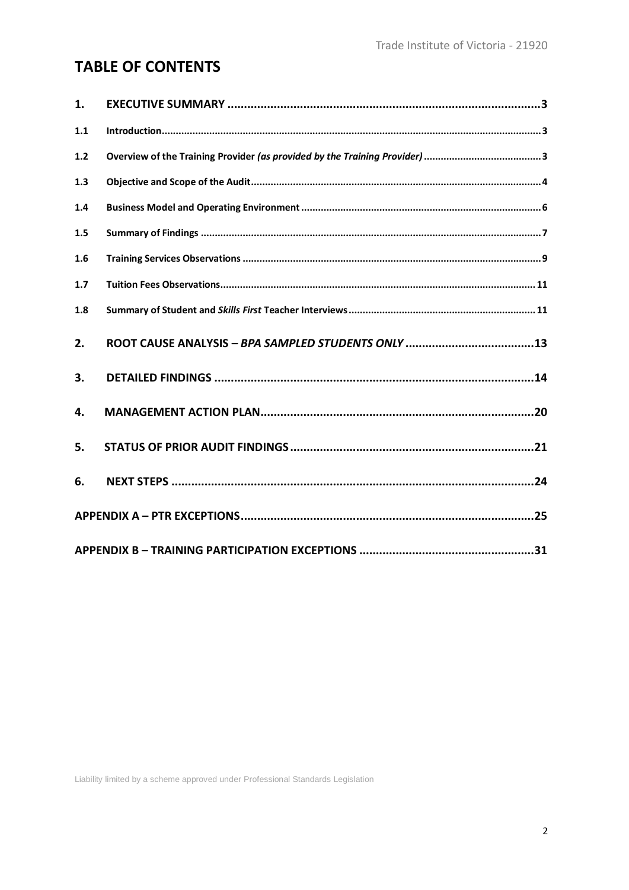## **TABLE OF CONTENTS**

| 1.  |  |
|-----|--|
| 1.1 |  |
| 1.2 |  |
| 1.3 |  |
| 1.4 |  |
| 1.5 |  |
| 1.6 |  |
| 1.7 |  |
| 1.8 |  |
| 2.  |  |
| 3.  |  |
| 4.  |  |
| 5.  |  |
| 6.  |  |
|     |  |
|     |  |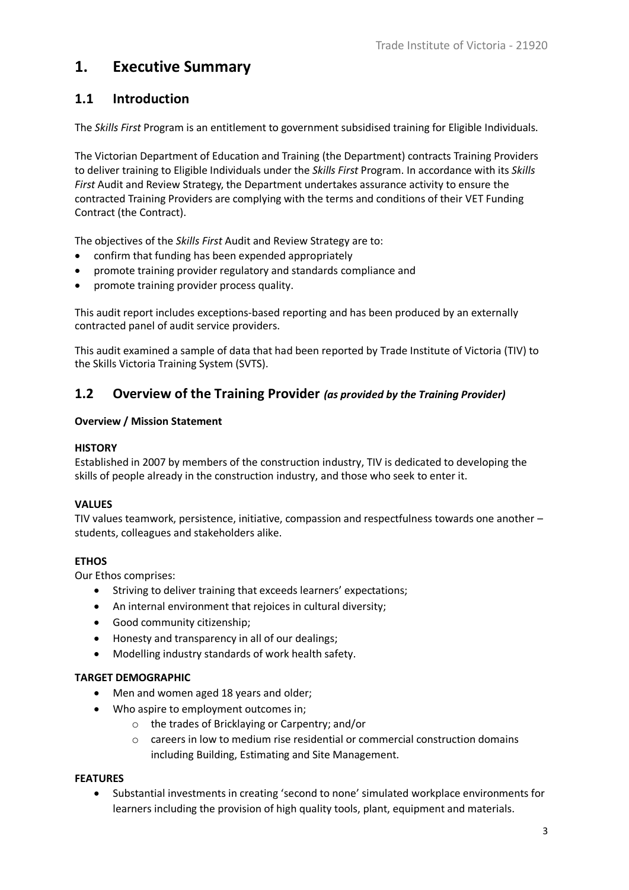## <span id="page-2-0"></span>**1. Executive Summary**

## <span id="page-2-1"></span>**1.1 Introduction**

The *Skills First* Program is an entitlement to government subsidised training for Eligible Individuals.

The Victorian Department of Education and Training (the Department) contracts Training Providers to deliver training to Eligible Individuals under the *Skills First* Program. In accordance with its *Skills First* Audit and Review Strategy, the Department undertakes assurance activity to ensure the contracted Training Providers are complying with the terms and conditions of their VET Funding Contract (the Contract).

The objectives of the *Skills First* Audit and Review Strategy are to:

- confirm that funding has been expended appropriately
- promote training provider regulatory and standards compliance and
- promote training provider process quality.

This audit report includes exceptions-based reporting and has been produced by an externally contracted panel of audit service providers.

This audit examined a sample of data that had been reported by Trade Institute of Victoria (TIV) to the Skills Victoria Training System (SVTS).

### <span id="page-2-2"></span>**1.2 Overview of the Training Provider** *(as provided by the Training Provider)*

#### **Overview / Mission Statement**

#### **HISTORY**

Established in 2007 by members of the construction industry, TIV is dedicated to developing the skills of people already in the construction industry, and those who seek to enter it.

### **VALUES**

TIV values teamwork, persistence, initiative, compassion and respectfulness towards one another – students, colleagues and stakeholders alike.

### **ETHOS**

Our Ethos comprises:

- Striving to deliver training that exceeds learners' expectations;
- An internal environment that rejoices in cultural diversity;
- Good community citizenship;
- Honesty and transparency in all of our dealings;
- Modelling industry standards of work health safety.

#### **TARGET DEMOGRAPHIC**

- Men and women aged 18 years and older;
- Who aspire to employment outcomes in;
	- o the trades of Bricklaying or Carpentry; and/or
	- $\circ$  careers in low to medium rise residential or commercial construction domains including Building, Estimating and Site Management.

#### **FEATURES**

• Substantial investments in creating 'second to none' simulated workplace environments for learners including the provision of high quality tools, plant, equipment and materials.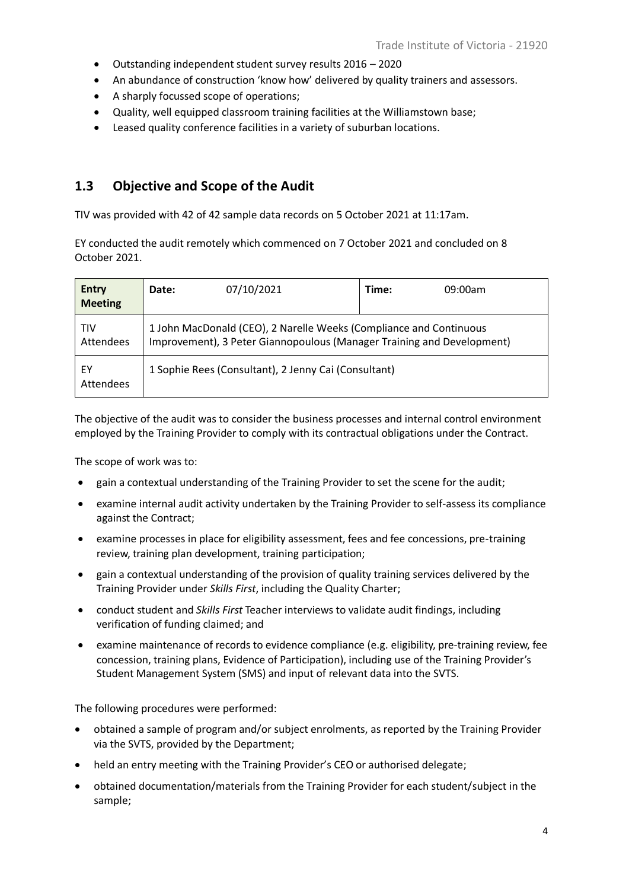- Outstanding independent student survey results 2016 2020
- An abundance of construction 'know how' delivered by quality trainers and assessors.
- A sharply focussed scope of operations;
- Quality, well equipped classroom training facilities at the Williamstown base;
- Leased quality conference facilities in a variety of suburban locations.

### <span id="page-3-0"></span>**1.3 Objective and Scope of the Audit**

TIV was provided with 42 of 42 sample data records on 5 October 2021 at 11:17am.

EY conducted the audit remotely which commenced on 7 October 2021 and concluded on 8 October 2021.

| Entry<br><b>Meeting</b> | Date:                                                                                                                                        | 07/10/2021                                           | Time: | 09:00am |
|-------------------------|----------------------------------------------------------------------------------------------------------------------------------------------|------------------------------------------------------|-------|---------|
| <b>TIV</b><br>Attendees | 1 John MacDonald (CEO), 2 Narelle Weeks (Compliance and Continuous<br>Improvement), 3 Peter Giannopoulous (Manager Training and Development) |                                                      |       |         |
| ΕY<br>Attendees         |                                                                                                                                              | 1 Sophie Rees (Consultant), 2 Jenny Cai (Consultant) |       |         |

The objective of the audit was to consider the business processes and internal control environment employed by the Training Provider to comply with its contractual obligations under the Contract.

The scope of work was to:

- gain a contextual understanding of the Training Provider to set the scene for the audit;
- examine internal audit activity undertaken by the Training Provider to self-assess its compliance against the Contract;
- examine processes in place for eligibility assessment, fees and fee concessions, pre-training review, training plan development, training participation;
- gain a contextual understanding of the provision of quality training services delivered by the Training Provider under *Skills First*, including the Quality Charter;
- conduct student and *Skills First* Teacher interviews to validate audit findings, including verification of funding claimed; and
- examine maintenance of records to evidence compliance (e.g. eligibility, pre-training review, fee concession, training plans, Evidence of Participation), including use of the Training Provider's Student Management System (SMS) and input of relevant data into the SVTS.

The following procedures were performed:

- obtained a sample of program and/or subject enrolments, as reported by the Training Provider via the SVTS, provided by the Department;
- held an entry meeting with the Training Provider's CEO or authorised delegate;
- obtained documentation/materials from the Training Provider for each student/subject in the sample;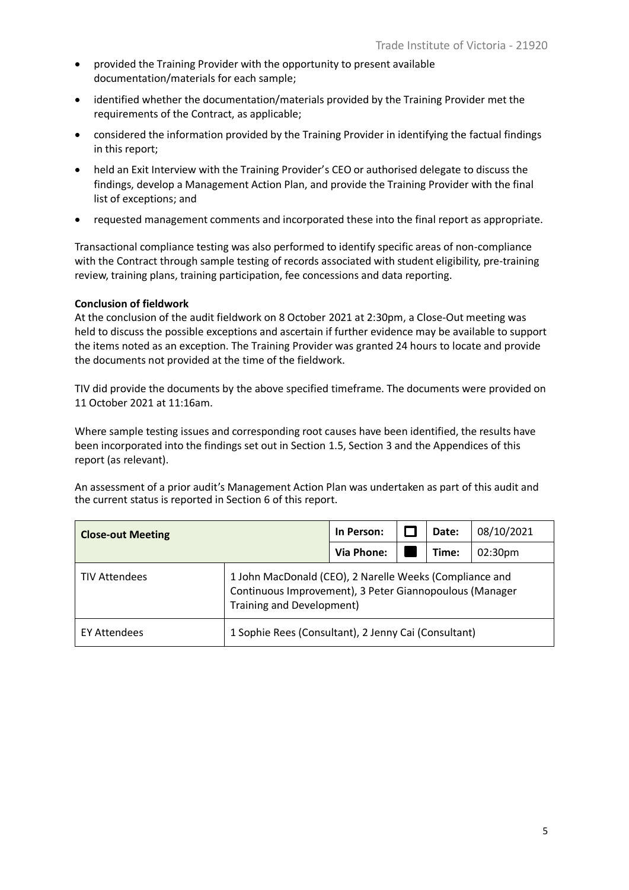- provided the Training Provider with the opportunity to present available documentation/materials for each sample;
- identified whether the documentation/materials provided by the Training Provider met the requirements of the Contract, as applicable;
- considered the information provided by the Training Provider in identifying the factual findings in this report;
- held an Exit Interview with the Training Provider's CEO or authorised delegate to discuss the findings, develop a Management Action Plan, and provide the Training Provider with the final list of exceptions; and
- requested management comments and incorporated these into the final report as appropriate.

Transactional compliance testing was also performed to identify specific areas of non-compliance with the Contract through sample testing of records associated with student eligibility, pre-training review, training plans, training participation, fee concessions and data reporting.

#### **Conclusion of fieldwork**

At the conclusion of the audit fieldwork on 8 October 2021 at 2:30pm, a Close-Out meeting was held to discuss the possible exceptions and ascertain if further evidence may be available to support the items noted as an exception. The Training Provider was granted 24 hours to locate and provide the documents not provided at the time of the fieldwork.

TIV did provide the documents by the above specified timeframe. The documents were provided on 11 October 2021 at 11:16am.

Where sample testing issues and corresponding root causes have been identified, the results have been incorporated into the findings set out in Section 1.5, Section 3 and the Appendices of this report (as relevant).

An assessment of a prior audit's Management Action Plan was undertaken as part of this audit and the current status is reported in Section 6 of this report.

| <b>Close-out Meeting</b> |                                                                                                                                                 | In Person: |  | Date: | 08/10/2021          |
|--------------------------|-------------------------------------------------------------------------------------------------------------------------------------------------|------------|--|-------|---------------------|
|                          |                                                                                                                                                 | Via Phone: |  | Time: | 02:30 <sub>pm</sub> |
| <b>TIV Attendees</b>     | 1 John MacDonald (CEO), 2 Narelle Weeks (Compliance and<br>Continuous Improvement), 3 Peter Giannopoulous (Manager<br>Training and Development) |            |  |       |                     |
| <b>EY Attendees</b>      | 1 Sophie Rees (Consultant), 2 Jenny Cai (Consultant)                                                                                            |            |  |       |                     |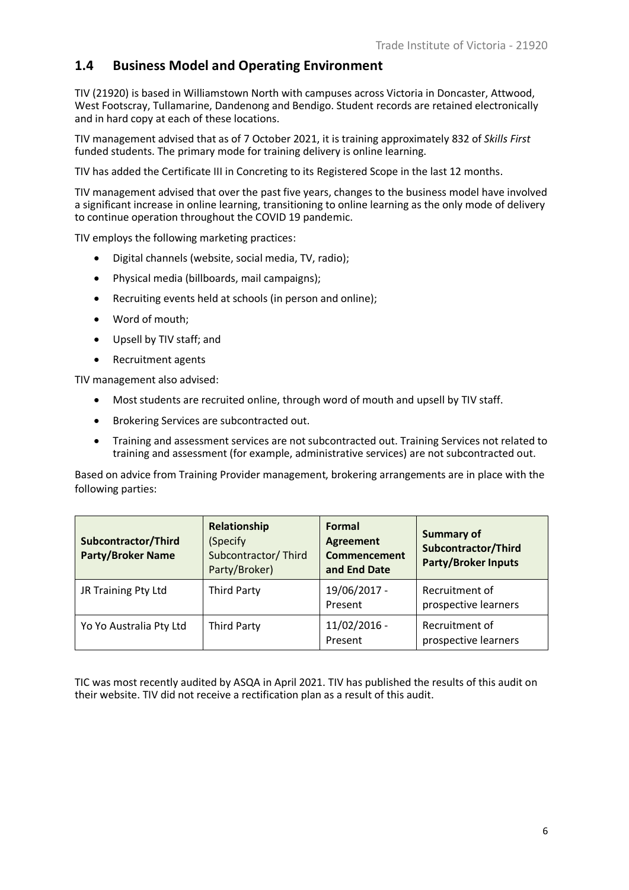### <span id="page-5-0"></span>**1.4 Business Model and Operating Environment**

TIV (21920) is based in Williamstown North with campuses across Victoria in Doncaster, Attwood, West Footscray, Tullamarine, Dandenong and Bendigo. Student records are retained electronically and in hard copy at each of these locations.

TIV management advised that as of 7 October 2021, it is training approximately 832 of *Skills First*  funded students. The primary mode for training delivery is online learning.

TIV has added the Certificate III in Concreting to its Registered Scope in the last 12 months.

TIV management advised that over the past five years, changes to the business model have involved a significant increase in online learning, transitioning to online learning as the only mode of delivery to continue operation throughout the COVID 19 pandemic.

TIV employs the following marketing practices:

- Digital channels (website, social media, TV, radio);
- Physical media (billboards, mail campaigns);
- Recruiting events held at schools (in person and online);
- Word of mouth;
- Upsell by TIV staff; and
- Recruitment agents

TIV management also advised:

- Most students are recruited online, through word of mouth and upsell by TIV staff.
- Brokering Services are subcontracted out.
- Training and assessment services are not subcontracted out. Training Services not related to training and assessment (for example, administrative services) are not subcontracted out.

Based on advice from Training Provider management, brokering arrangements are in place with the following parties:

| Subcontractor/Third<br><b>Party/Broker Name</b> | Relationship<br>(Specify)<br>Subcontractor/Third<br>Party/Broker) | Formal<br><b>Agreement</b><br><b>Commencement</b><br>and End Date | <b>Summary of</b><br>Subcontractor/Third<br><b>Party/Broker Inputs</b> |
|-------------------------------------------------|-------------------------------------------------------------------|-------------------------------------------------------------------|------------------------------------------------------------------------|
| JR Training Pty Ltd                             | <b>Third Party</b>                                                | 19/06/2017 -<br>Present                                           | Recruitment of<br>prospective learners                                 |
| Yo Yo Australia Pty Ltd                         | <b>Third Party</b>                                                | $11/02/2016$ -<br>Present                                         | Recruitment of<br>prospective learners                                 |

TIC was most recently audited by ASQA in April 2021. TIV has published the results of this audit on their website. TIV did not receive a rectification plan as a result of this audit.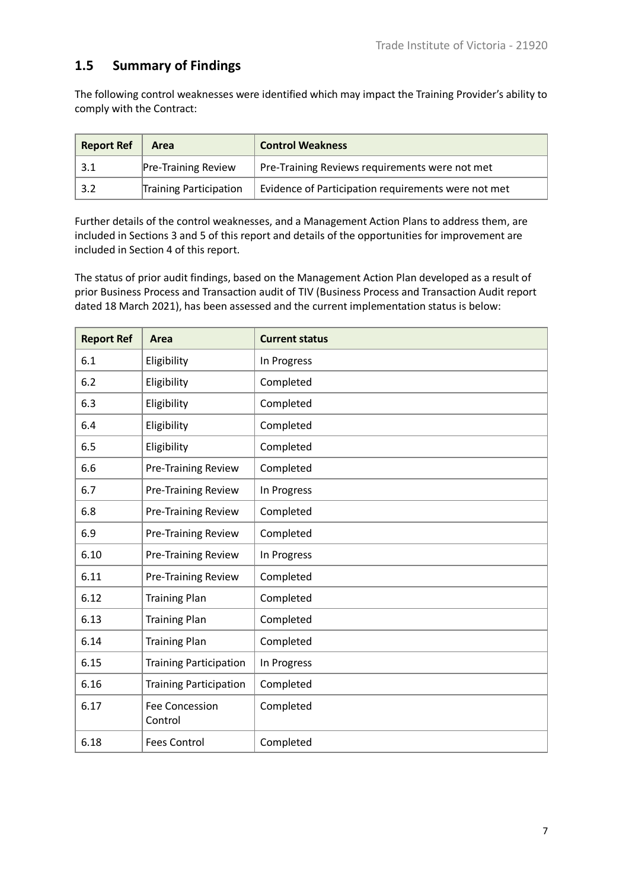## <span id="page-6-0"></span>**1.5 Summary of Findings**

The following control weaknesses were identified which may impact the Training Provider's ability to comply with the Contract:

| <b>Report Ref</b> | Area                       | <b>Control Weakness</b>                             |
|-------------------|----------------------------|-----------------------------------------------------|
|                   | <b>Pre-Training Review</b> | Pre-Training Reviews requirements were not met      |
| 3.2               | Training Participation     | Evidence of Participation requirements were not met |

Further details of the control weaknesses, and a Management Action Plans to address them, are included in Sections 3 and 5 of this report and details of the opportunities for improvement are included in Section 4 of this report.

The status of prior audit findings, based on the Management Action Plan developed as a result of prior Business Process and Transaction audit of TIV (Business Process and Transaction Audit report dated 18 March 2021), has been assessed and the current implementation status is below:

| <b>Report Ref</b> | Area                             | <b>Current status</b> |
|-------------------|----------------------------------|-----------------------|
| 6.1               | Eligibility                      | In Progress           |
| 6.2               | Eligibility                      | Completed             |
| 6.3               | Eligibility                      | Completed             |
| 6.4               | Eligibility                      | Completed             |
| 6.5               | Eligibility                      | Completed             |
| 6.6               | <b>Pre-Training Review</b>       | Completed             |
| 6.7               | <b>Pre-Training Review</b>       | In Progress           |
| 6.8               | Pre-Training Review              | Completed             |
| 6.9               | Pre-Training Review              | Completed             |
| 6.10              | <b>Pre-Training Review</b>       | In Progress           |
| 6.11              | <b>Pre-Training Review</b>       | Completed             |
| 6.12              | <b>Training Plan</b>             | Completed             |
| 6.13              | <b>Training Plan</b>             | Completed             |
| 6.14              | <b>Training Plan</b>             | Completed             |
| 6.15              | <b>Training Participation</b>    | In Progress           |
| 6.16              | <b>Training Participation</b>    | Completed             |
| 6.17              | <b>Fee Concession</b><br>Control | Completed             |
| 6.18              | <b>Fees Control</b>              | Completed             |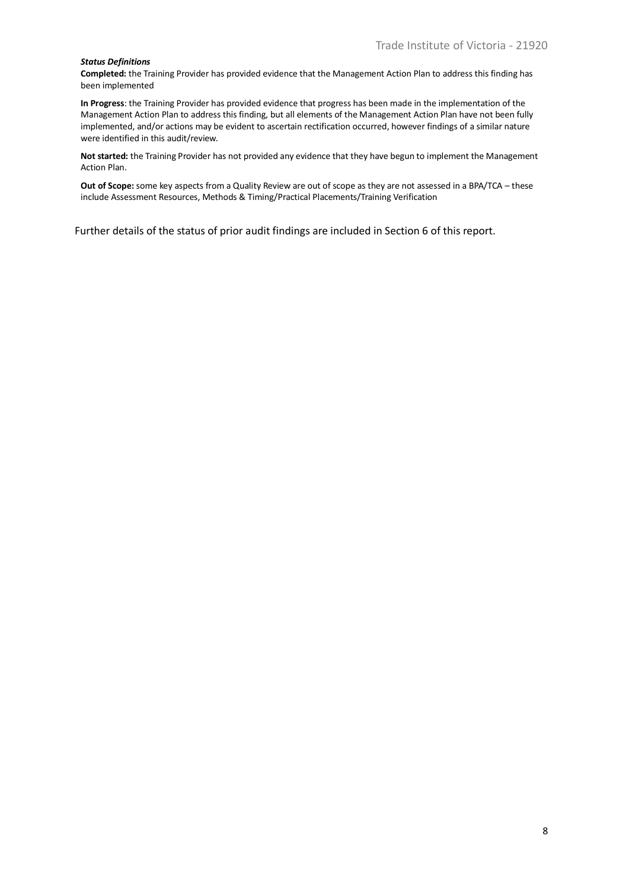#### *Status Definitions*

**Completed:** the Training Provider has provided evidence that the Management Action Plan to address this finding has been implemented

**In Progress**: the Training Provider has provided evidence that progress has been made in the implementation of the Management Action Plan to address this finding, but all elements of the Management Action Plan have not been fully implemented, and/or actions may be evident to ascertain rectification occurred, however findings of a similar nature were identified in this audit/review.

**Not started:** the Training Provider has not provided any evidence that they have begun to implement the Management Action Plan.

**Out of Scope:** some key aspects from a Quality Review are out of scope as they are not assessed in a BPA/TCA – these include Assessment Resources, Methods & Timing/Practical Placements/Training Verification

Further details of the status of prior audit findings are included in Section 6 of this report.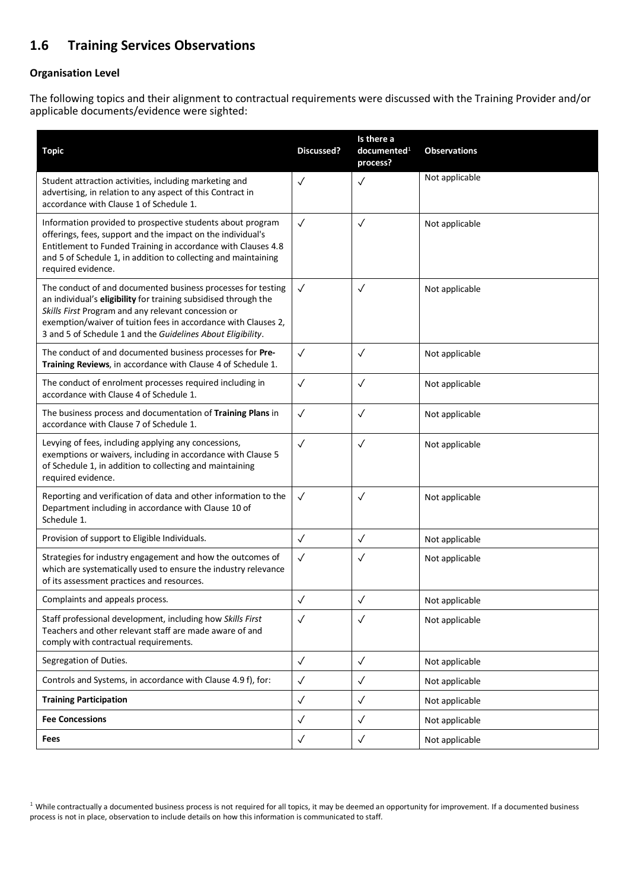## <span id="page-8-0"></span>**1.6 Training Services Observations**

#### **Organisation Level**

The following topics and their alignment to contractual requirements were discussed with the Training Provider and/or applicable documents/evidence were sighted:

| <b>Topic</b>                                                                                                                                                                                                                                                                                                            | Discussed?   | Is there a<br>documented <sup>1</sup><br>process? | <b>Observations</b> |
|-------------------------------------------------------------------------------------------------------------------------------------------------------------------------------------------------------------------------------------------------------------------------------------------------------------------------|--------------|---------------------------------------------------|---------------------|
| Student attraction activities, including marketing and<br>advertising, in relation to any aspect of this Contract in<br>accordance with Clause 1 of Schedule 1.                                                                                                                                                         | $\checkmark$ | $\checkmark$                                      | Not applicable      |
| Information provided to prospective students about program<br>offerings, fees, support and the impact on the individual's<br>Entitlement to Funded Training in accordance with Clauses 4.8<br>and 5 of Schedule 1, in addition to collecting and maintaining<br>required evidence.                                      | $\checkmark$ | $\checkmark$                                      | Not applicable      |
| The conduct of and documented business processes for testing<br>an individual's eligibility for training subsidised through the<br>Skills First Program and any relevant concession or<br>exemption/waiver of tuition fees in accordance with Clauses 2,<br>3 and 5 of Schedule 1 and the Guidelines About Eligibility. | $\checkmark$ | $\checkmark$                                      | Not applicable      |
| The conduct of and documented business processes for Pre-<br>Training Reviews, in accordance with Clause 4 of Schedule 1.                                                                                                                                                                                               | $\checkmark$ | $\checkmark$                                      | Not applicable      |
| The conduct of enrolment processes required including in<br>accordance with Clause 4 of Schedule 1.                                                                                                                                                                                                                     | $\checkmark$ | $\checkmark$                                      | Not applicable      |
| The business process and documentation of Training Plans in<br>accordance with Clause 7 of Schedule 1.                                                                                                                                                                                                                  | $\checkmark$ | $\checkmark$                                      | Not applicable      |
| Levying of fees, including applying any concessions,<br>exemptions or waivers, including in accordance with Clause 5<br>of Schedule 1, in addition to collecting and maintaining<br>required evidence.                                                                                                                  | $\checkmark$ | $\checkmark$                                      | Not applicable      |
| Reporting and verification of data and other information to the<br>Department including in accordance with Clause 10 of<br>Schedule 1.                                                                                                                                                                                  | $\checkmark$ | $\checkmark$                                      | Not applicable      |
| Provision of support to Eligible Individuals.                                                                                                                                                                                                                                                                           | $\checkmark$ | $\checkmark$                                      | Not applicable      |
| Strategies for industry engagement and how the outcomes of<br>which are systematically used to ensure the industry relevance<br>of its assessment practices and resources.                                                                                                                                              | $\checkmark$ | $\checkmark$                                      | Not applicable      |
| Complaints and appeals process.                                                                                                                                                                                                                                                                                         | $\checkmark$ | $\checkmark$                                      | Not applicable      |
| Staff professional development, including how Skills First<br>Teachers and other relevant staff are made aware of and<br>comply with contractual requirements.                                                                                                                                                          | $\checkmark$ | $\checkmark$                                      | Not applicable      |
| Segregation of Duties.                                                                                                                                                                                                                                                                                                  | $\checkmark$ | $\checkmark$                                      | Not applicable      |
| Controls and Systems, in accordance with Clause 4.9 f), for:                                                                                                                                                                                                                                                            | $\checkmark$ | $\checkmark$                                      | Not applicable      |
| <b>Training Participation</b>                                                                                                                                                                                                                                                                                           | $\checkmark$ | $\checkmark$                                      | Not applicable      |
| <b>Fee Concessions</b>                                                                                                                                                                                                                                                                                                  | $\checkmark$ | $\checkmark$                                      | Not applicable      |
| Fees                                                                                                                                                                                                                                                                                                                    | $\checkmark$ | $\checkmark$                                      | Not applicable      |

<sup>1</sup> While contractually a documented business process is not required for all topics, it may be deemed an opportunity for improvement. If a documented business process is not in place, observation to include details on how this information is communicated to staff.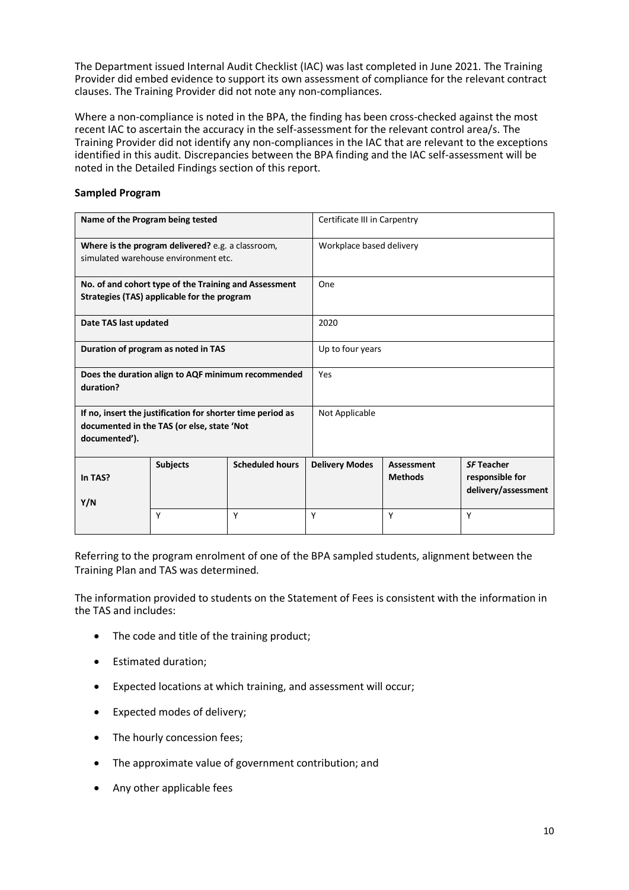The Department issued Internal Audit Checklist (IAC) was last completed in June 2021. The Training Provider did embed evidence to support its own assessment of compliance for the relevant contract clauses. The Training Provider did not note any non-compliances.

Where a non-compliance is noted in the BPA, the finding has been cross-checked against the most recent IAC to ascertain the accuracy in the self-assessment for the relevant control area/s. The Training Provider did not identify any non-compliances in the IAC that are relevant to the exceptions identified in this audit. Discrepancies between the BPA finding and the IAC self-assessment will be noted in the Detailed Findings section of this report.

#### **Sampled Program**

| Name of the Program being tested                                                                                          |                                     |                        | Certificate III in Carpentry |                              |                                                             |  |
|---------------------------------------------------------------------------------------------------------------------------|-------------------------------------|------------------------|------------------------------|------------------------------|-------------------------------------------------------------|--|
| Where is the program delivered? e.g. a classroom,<br>simulated warehouse environment etc.                                 |                                     |                        |                              | Workplace based delivery     |                                                             |  |
| No. of and cohort type of the Training and Assessment<br>Strategies (TAS) applicable for the program                      |                                     |                        | One                          |                              |                                                             |  |
| Date TAS last updated                                                                                                     |                                     |                        | 2020                         |                              |                                                             |  |
|                                                                                                                           | Duration of program as noted in TAS |                        |                              | Up to four years             |                                                             |  |
| Does the duration align to AQF minimum recommended<br>duration?                                                           |                                     |                        | Yes                          |                              |                                                             |  |
| If no, insert the justification for shorter time period as<br>documented in the TAS (or else, state 'Not<br>documented'). |                                     | Not Applicable         |                              |                              |                                                             |  |
| In TAS?<br>Y/N                                                                                                            | <b>Subjects</b>                     | <b>Scheduled hours</b> | <b>Delivery Modes</b>        | Assessment<br><b>Methods</b> | <b>SF Teacher</b><br>responsible for<br>delivery/assessment |  |
|                                                                                                                           | Υ                                   | Υ                      | Υ                            | Υ                            | Υ                                                           |  |

Referring to the program enrolment of one of the BPA sampled students, alignment between the Training Plan and TAS was determined.

The information provided to students on the Statement of Fees is consistent with the information in the TAS and includes:

- The code and title of the training product;
- Estimated duration;
- Expected locations at which training, and assessment will occur;
- Expected modes of delivery;
- The hourly concession fees;
- The approximate value of government contribution; and
- Any other applicable fees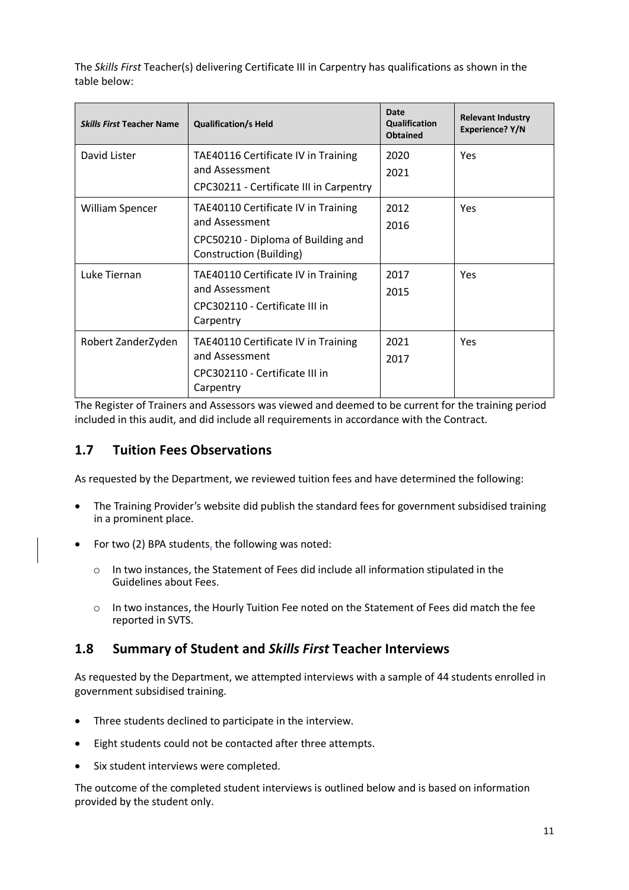The *Skills First* Teacher(s) delivering Certificate III in Carpentry has qualifications as shown in the table below:

| <b>Skills First Teacher Name</b> | <b>Qualification/s Held</b>                                                                                            | Date<br>Qualification<br><b>Obtained</b> | <b>Relevant Industry</b><br>Experience? Y/N |
|----------------------------------|------------------------------------------------------------------------------------------------------------------------|------------------------------------------|---------------------------------------------|
| David Lister                     | TAE40116 Certificate IV in Training<br>and Assessment<br>CPC30211 - Certificate III in Carpentry                       | 2020<br>2021                             | Yes                                         |
| <b>William Spencer</b>           | TAE40110 Certificate IV in Training<br>and Assessment<br>CPC50210 - Diploma of Building and<br>Construction (Building) | 2012<br>2016                             | Yes                                         |
| Luke Tiernan                     | TAE40110 Certificate IV in Training<br>and Assessment<br>CPC302110 - Certificate III in<br>Carpentry                   | 2017<br>2015                             | <b>Yes</b>                                  |
| Robert ZanderZyden               | TAE40110 Certificate IV in Training<br>and Assessment<br>CPC302110 - Certificate III in<br>Carpentry                   | 2021<br>2017                             | <b>Yes</b>                                  |

The Register of Trainers and Assessors was viewed and deemed to be current for the training period included in this audit, and did include all requirements in accordance with the Contract.

### <span id="page-10-0"></span>**1.7 Tuition Fees Observations**

As requested by the Department, we reviewed tuition fees and have determined the following:

- The Training Provider's website did publish the standard fees for government subsidised training in a prominent place.
- For two (2) BPA students, the following was noted:
	- o In two instances, the Statement of Fees did include all information stipulated in the Guidelines about Fees.
	- o In two instances, the Hourly Tuition Fee noted on the Statement of Fees did match the fee reported in SVTS.

### <span id="page-10-1"></span>**1.8 Summary of Student and** *Skills First* **Teacher Interviews**

As requested by the Department, we attempted interviews with a sample of 44 students enrolled in government subsidised training.

- Three students declined to participate in the interview.
- Eight students could not be contacted after three attempts.
- Six student interviews were completed.

The outcome of the completed student interviews is outlined below and is based on information provided by the student only.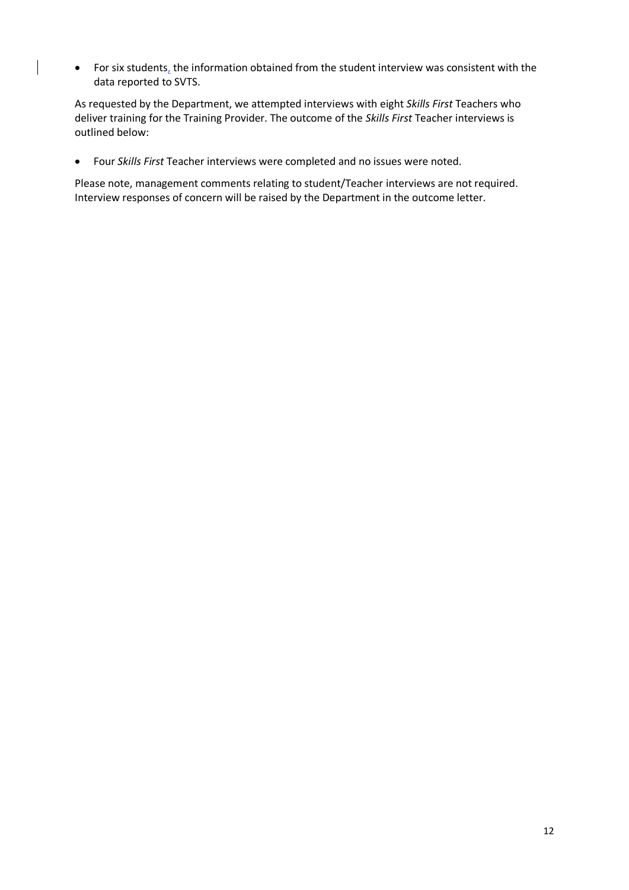• For six students, the information obtained from the student interview was consistent with the data reported to SVTS.

As requested by the Department, we attempted interviews with eight *Skills First* Teachers who deliver training for the Training Provider. The outcome of the *Skills First* Teacher interviews is outlined below:

• Four *Skills First* Teacher interviews were completed and no issues were noted.

Please note, management comments relating to student/Teacher interviews are not required. Interview responses of concern will be raised by the Department in the outcome letter.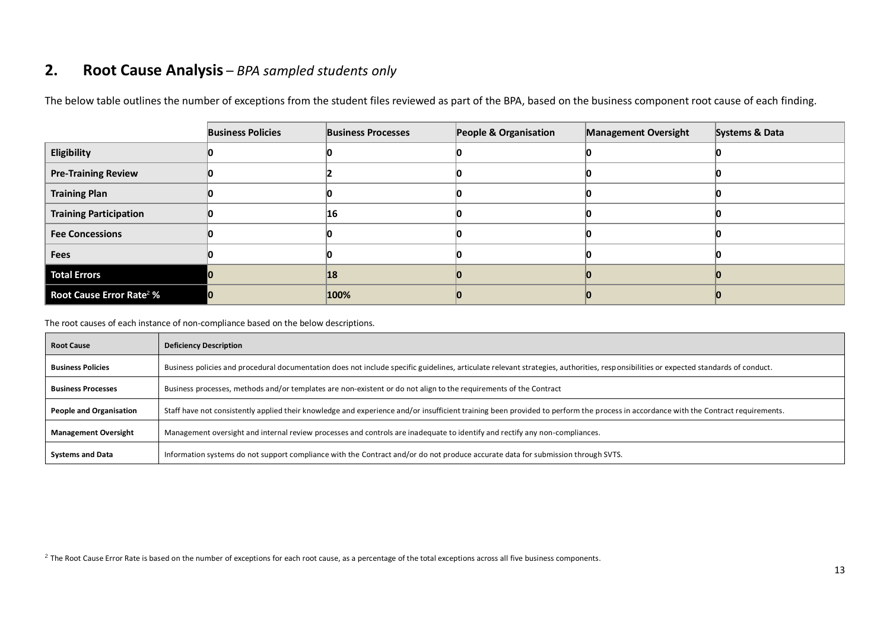## **2. Root Cause Analysis** *– BPA sampled students only*

|                                      | <b>Business Policies</b> | <b>Business Processes</b> | People & Organisation | <b>Management Oversight</b> | Systems & Data |
|--------------------------------------|--------------------------|---------------------------|-----------------------|-----------------------------|----------------|
| Eligibility                          |                          |                           |                       |                             |                |
| <b>Pre-Training Review</b>           |                          |                           |                       |                             |                |
| <b>Training Plan</b>                 |                          |                           |                       |                             |                |
| <b>Training Participation</b>        |                          | 16                        |                       |                             |                |
| <b>Fee Concessions</b>               |                          |                           |                       |                             |                |
| <b>Fees</b>                          |                          |                           |                       |                             |                |
| <b>Total Errors</b>                  |                          | 18                        |                       |                             |                |
| Root Cause Error Rate <sup>2</sup> % |                          | 100%                      |                       |                             |                |

The below table outlines the number of exceptions from the student files reviewed as part of the BPA, based on the business component root cause of each finding.

<span id="page-12-0"></span>The root causes of each instance of non-compliance based on the below descriptions.

| <b>Root Cause</b>           | <b>Deficiency Description</b>                                                                                                                                                        |
|-----------------------------|--------------------------------------------------------------------------------------------------------------------------------------------------------------------------------------|
| <b>Business Policies</b>    | Business policies and procedural documentation does not include specific guidelines, articulate relevant strategies, authorities, responsibilities or expected standards of conduct. |
| <b>Business Processes</b>   | Business processes, methods and/or templates are non-existent or do not align to the requirements of the Contract                                                                    |
| People and Organisation     | Staff have not consistently applied their knowledge and experience and/or insufficient training been provided to perform the process in accordance with the Contract requirements.   |
| <b>Management Oversight</b> | Management oversight and internal review processes and controls are inadequate to identify and rectify any non-compliances.                                                          |
| <b>Systems and Data</b>     | Information systems do not support compliance with the Contract and/or do not produce accurate data for submission through SVTS.                                                     |

 $^2$  The Root Cause Error Rate is based on the number of exceptions for each root cause, as a percentage of the total exceptions across all five business components.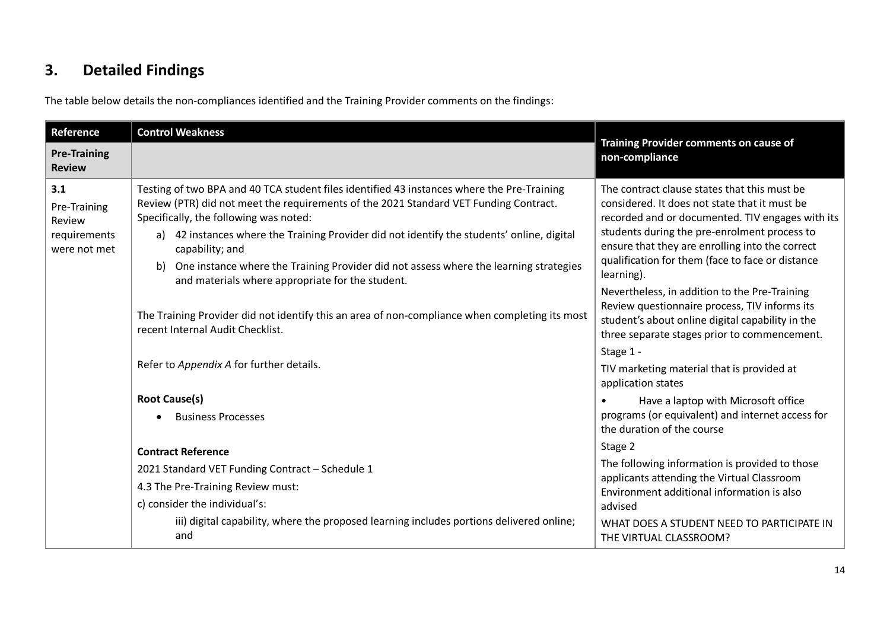# **3. Detailed Findings**

The table below details the non-compliances identified and the Training Provider comments on the findings:

<span id="page-13-0"></span>

| Reference                                                     | <b>Control Weakness</b>                                                                                                                                                                                                                                                                                                                                                                                                                                                                        | Training Provider comments on cause of<br>non-compliance                                                                                                                                                                                                                                                                                                                                                                                                                                                                                  |  |
|---------------------------------------------------------------|------------------------------------------------------------------------------------------------------------------------------------------------------------------------------------------------------------------------------------------------------------------------------------------------------------------------------------------------------------------------------------------------------------------------------------------------------------------------------------------------|-------------------------------------------------------------------------------------------------------------------------------------------------------------------------------------------------------------------------------------------------------------------------------------------------------------------------------------------------------------------------------------------------------------------------------------------------------------------------------------------------------------------------------------------|--|
| <b>Pre-Training</b><br><b>Review</b>                          |                                                                                                                                                                                                                                                                                                                                                                                                                                                                                                |                                                                                                                                                                                                                                                                                                                                                                                                                                                                                                                                           |  |
| 3.1<br>Pre-Training<br>Review<br>requirements<br>were not met | Testing of two BPA and 40 TCA student files identified 43 instances where the Pre-Training<br>Review (PTR) did not meet the requirements of the 2021 Standard VET Funding Contract.<br>Specifically, the following was noted:<br>42 instances where the Training Provider did not identify the students' online, digital<br>capability; and<br>One instance where the Training Provider did not assess where the learning strategies<br>b)<br>and materials where appropriate for the student. | The contract clause states that this must be<br>considered. It does not state that it must be<br>recorded and or documented. TIV engages with its<br>students during the pre-enrolment process to<br>ensure that they are enrolling into the correct<br>qualification for them (face to face or distance<br>learning).<br>Nevertheless, in addition to the Pre-Training<br>Review questionnaire process, TIV informs its<br>student's about online digital capability in the<br>three separate stages prior to commencement.<br>Stage 1 - |  |
|                                                               | The Training Provider did not identify this an area of non-compliance when completing its most<br>recent Internal Audit Checklist.                                                                                                                                                                                                                                                                                                                                                             |                                                                                                                                                                                                                                                                                                                                                                                                                                                                                                                                           |  |
|                                                               | Refer to Appendix A for further details.                                                                                                                                                                                                                                                                                                                                                                                                                                                       | TIV marketing material that is provided at<br>application states                                                                                                                                                                                                                                                                                                                                                                                                                                                                          |  |
|                                                               | <b>Root Cause(s)</b><br><b>Business Processes</b>                                                                                                                                                                                                                                                                                                                                                                                                                                              | Have a laptop with Microsoft office<br>programs (or equivalent) and internet access for<br>the duration of the course                                                                                                                                                                                                                                                                                                                                                                                                                     |  |
|                                                               | <b>Contract Reference</b><br>2021 Standard VET Funding Contract - Schedule 1<br>4.3 The Pre-Training Review must:<br>c) consider the individual's:<br>iii) digital capability, where the proposed learning includes portions delivered online;                                                                                                                                                                                                                                                 | Stage 2<br>The following information is provided to those<br>applicants attending the Virtual Classroom<br>Environment additional information is also<br>advised<br>WHAT DOES A STUDENT NEED TO PARTICIPATE IN                                                                                                                                                                                                                                                                                                                            |  |
|                                                               | and                                                                                                                                                                                                                                                                                                                                                                                                                                                                                            | THE VIRTUAL CLASSROOM?                                                                                                                                                                                                                                                                                                                                                                                                                                                                                                                    |  |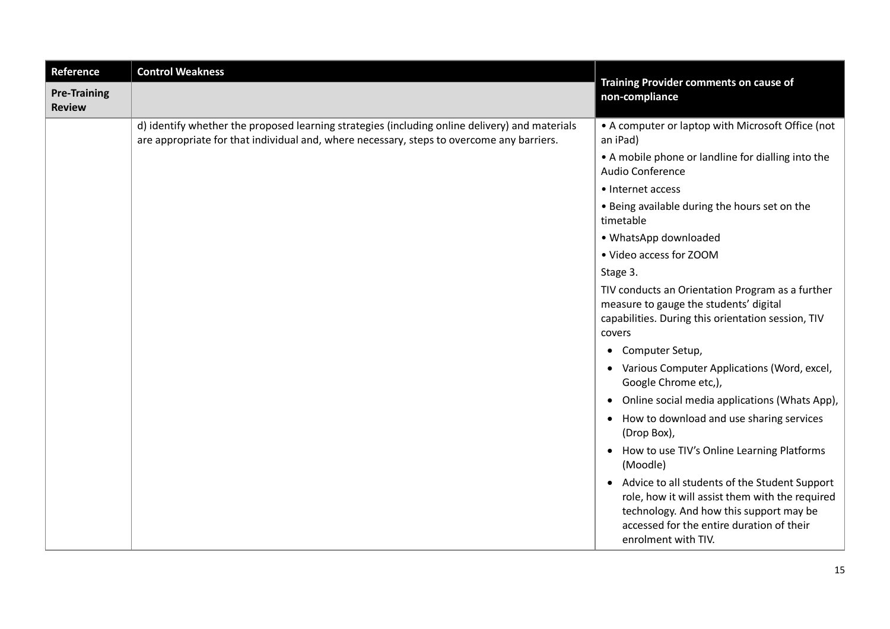| Reference                            | <b>Control Weakness</b>                                                                                                                                                                     | Training Provider comments on cause of                                                                                                                                                                            |  |  |  |
|--------------------------------------|---------------------------------------------------------------------------------------------------------------------------------------------------------------------------------------------|-------------------------------------------------------------------------------------------------------------------------------------------------------------------------------------------------------------------|--|--|--|
| <b>Pre-Training</b><br><b>Review</b> |                                                                                                                                                                                             | non-compliance                                                                                                                                                                                                    |  |  |  |
|                                      | d) identify whether the proposed learning strategies (including online delivery) and materials<br>are appropriate for that individual and, where necessary, steps to overcome any barriers. | • A computer or laptop with Microsoft Office (not<br>an iPad)                                                                                                                                                     |  |  |  |
|                                      |                                                                                                                                                                                             | • A mobile phone or landline for dialling into the<br>Audio Conference                                                                                                                                            |  |  |  |
|                                      |                                                                                                                                                                                             | • Internet access                                                                                                                                                                                                 |  |  |  |
|                                      |                                                                                                                                                                                             | • Being available during the hours set on the<br>timetable                                                                                                                                                        |  |  |  |
|                                      |                                                                                                                                                                                             | • WhatsApp downloaded                                                                                                                                                                                             |  |  |  |
|                                      |                                                                                                                                                                                             | • Video access for ZOOM                                                                                                                                                                                           |  |  |  |
|                                      |                                                                                                                                                                                             | Stage 3.                                                                                                                                                                                                          |  |  |  |
|                                      |                                                                                                                                                                                             | TIV conducts an Orientation Program as a further<br>measure to gauge the students' digital<br>capabilities. During this orientation session, TIV<br>covers                                                        |  |  |  |
|                                      |                                                                                                                                                                                             | • Computer Setup,                                                                                                                                                                                                 |  |  |  |
|                                      |                                                                                                                                                                                             | • Various Computer Applications (Word, excel,<br>Google Chrome etc,),                                                                                                                                             |  |  |  |
|                                      |                                                                                                                                                                                             | Online social media applications (Whats App),<br>$\bullet$                                                                                                                                                        |  |  |  |
|                                      |                                                                                                                                                                                             | • How to download and use sharing services<br>(Drop Box),                                                                                                                                                         |  |  |  |
|                                      |                                                                                                                                                                                             | How to use TIV's Online Learning Platforms<br>$\bullet$<br>(Moodle)                                                                                                                                               |  |  |  |
|                                      |                                                                                                                                                                                             | • Advice to all students of the Student Support<br>role, how it will assist them with the required<br>technology. And how this support may be<br>accessed for the entire duration of their<br>enrolment with TIV. |  |  |  |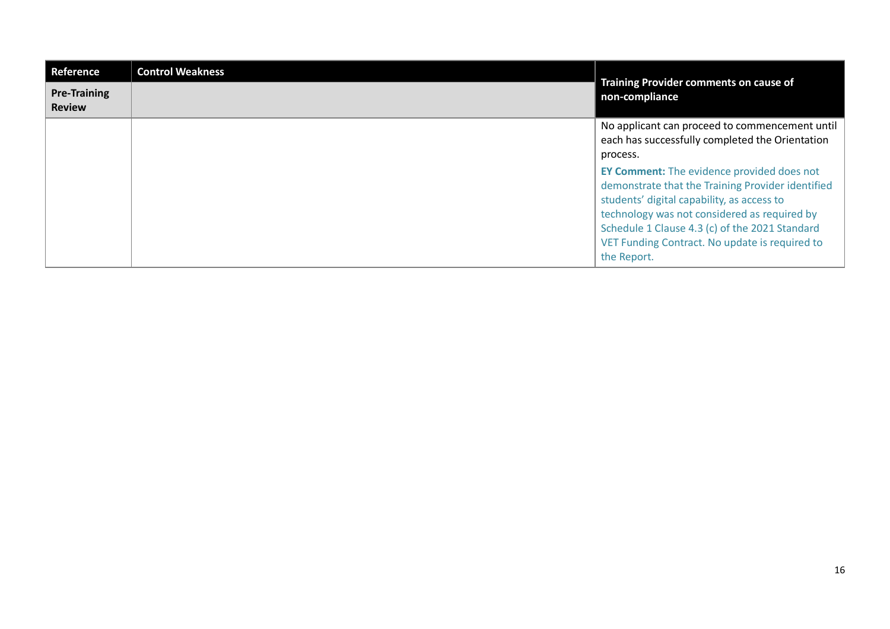| Reference                            | <b>Control Weakness</b> | Training Provider comments on cause of                                                                                                                                                                                                                                                                                  |  |
|--------------------------------------|-------------------------|-------------------------------------------------------------------------------------------------------------------------------------------------------------------------------------------------------------------------------------------------------------------------------------------------------------------------|--|
| <b>Pre-Training</b><br><b>Review</b> |                         | non-compliance                                                                                                                                                                                                                                                                                                          |  |
|                                      |                         | No applicant can proceed to commencement until<br>each has successfully completed the Orientation<br>process.                                                                                                                                                                                                           |  |
|                                      |                         | <b>EY Comment:</b> The evidence provided does not<br>demonstrate that the Training Provider identified<br>students' digital capability, as access to<br>technology was not considered as required by<br>Schedule 1 Clause 4.3 (c) of the 2021 Standard<br>VET Funding Contract. No update is required to<br>the Report. |  |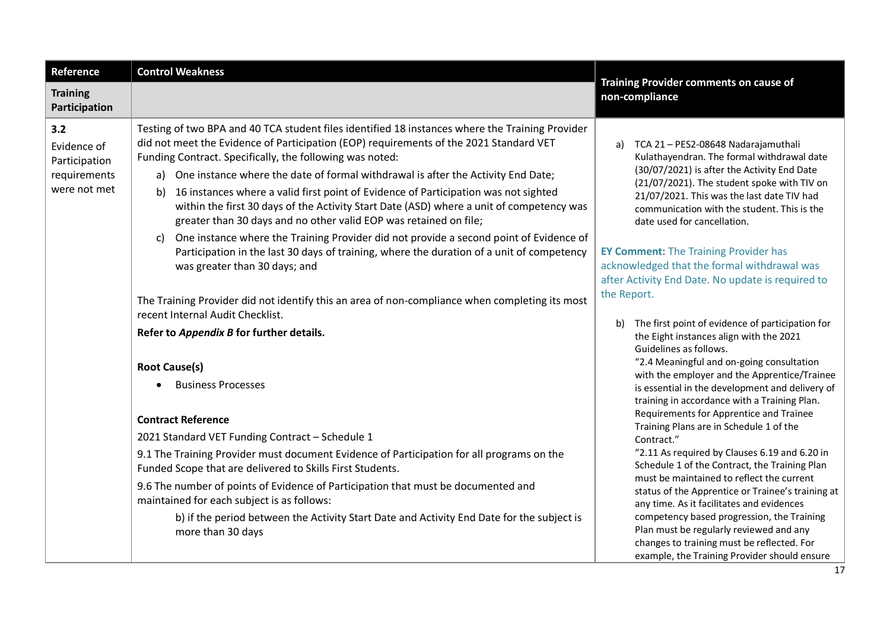| Reference                                                           | <b>Control Weakness</b>                                                                                                                                                                                                                                                                                                                                                                                                                                                                                                                                                                                                                                                                                                                                                                                    | Training Provider comments on cause of<br>non-compliance                                                                                                                                                                                                                                                                                                                                                                                                                                                                                       |  |  |
|---------------------------------------------------------------------|------------------------------------------------------------------------------------------------------------------------------------------------------------------------------------------------------------------------------------------------------------------------------------------------------------------------------------------------------------------------------------------------------------------------------------------------------------------------------------------------------------------------------------------------------------------------------------------------------------------------------------------------------------------------------------------------------------------------------------------------------------------------------------------------------------|------------------------------------------------------------------------------------------------------------------------------------------------------------------------------------------------------------------------------------------------------------------------------------------------------------------------------------------------------------------------------------------------------------------------------------------------------------------------------------------------------------------------------------------------|--|--|
| <b>Training</b><br>Participation                                    |                                                                                                                                                                                                                                                                                                                                                                                                                                                                                                                                                                                                                                                                                                                                                                                                            |                                                                                                                                                                                                                                                                                                                                                                                                                                                                                                                                                |  |  |
| 3.2<br>Evidence of<br>Participation<br>requirements<br>were not met | Testing of two BPA and 40 TCA student files identified 18 instances where the Training Provider<br>did not meet the Evidence of Participation (EOP) requirements of the 2021 Standard VET<br>Funding Contract. Specifically, the following was noted:<br>One instance where the date of formal withdrawal is after the Activity End Date;<br>a)<br>16 instances where a valid first point of Evidence of Participation was not sighted<br>b)<br>within the first 30 days of the Activity Start Date (ASD) where a unit of competency was<br>greater than 30 days and no other valid EOP was retained on file;<br>One instance where the Training Provider did not provide a second point of Evidence of<br>C)<br>Participation in the last 30 days of training, where the duration of a unit of competency | TCA 21 - PES2-08648 Nadarajamuthali<br>a)<br>Kulathayendran. The formal withdrawal date<br>(30/07/2021) is after the Activity End Date<br>(21/07/2021). The student spoke with TIV on<br>21/07/2021. This was the last date TIV had<br>communication with the student. This is the<br>date used for cancellation.<br><b>EY Comment:</b> The Training Provider has                                                                                                                                                                              |  |  |
|                                                                     | was greater than 30 days; and<br>The Training Provider did not identify this an area of non-compliance when completing its most<br>recent Internal Audit Checklist.                                                                                                                                                                                                                                                                                                                                                                                                                                                                                                                                                                                                                                        | acknowledged that the formal withdrawal was<br>after Activity End Date. No update is required to<br>the Report.                                                                                                                                                                                                                                                                                                                                                                                                                                |  |  |
|                                                                     | Refer to Appendix B for further details.                                                                                                                                                                                                                                                                                                                                                                                                                                                                                                                                                                                                                                                                                                                                                                   | The first point of evidence of participation for<br>b)<br>the Eight instances align with the 2021<br>Guidelines as follows.                                                                                                                                                                                                                                                                                                                                                                                                                    |  |  |
|                                                                     | <b>Root Cause(s)</b><br><b>Business Processes</b>                                                                                                                                                                                                                                                                                                                                                                                                                                                                                                                                                                                                                                                                                                                                                          | "2.4 Meaningful and on-going consultation<br>with the employer and the Apprentice/Trainee<br>is essential in the development and delivery of<br>training in accordance with a Training Plan.                                                                                                                                                                                                                                                                                                                                                   |  |  |
|                                                                     | <b>Contract Reference</b><br>2021 Standard VET Funding Contract - Schedule 1<br>9.1 The Training Provider must document Evidence of Participation for all programs on the<br>Funded Scope that are delivered to Skills First Students.<br>9.6 The number of points of Evidence of Participation that must be documented and<br>maintained for each subject is as follows:<br>b) if the period between the Activity Start Date and Activity End Date for the subject is<br>more than 30 days                                                                                                                                                                                                                                                                                                                | Requirements for Apprentice and Trainee<br>Training Plans are in Schedule 1 of the<br>Contract."<br>"2.11 As required by Clauses 6.19 and 6.20 in<br>Schedule 1 of the Contract, the Training Plan<br>must be maintained to reflect the current<br>status of the Apprentice or Trainee's training at<br>any time. As it facilitates and evidences<br>competency based progression, the Training<br>Plan must be regularly reviewed and any<br>changes to training must be reflected. For<br>example, the Training Provider should ensure<br>17 |  |  |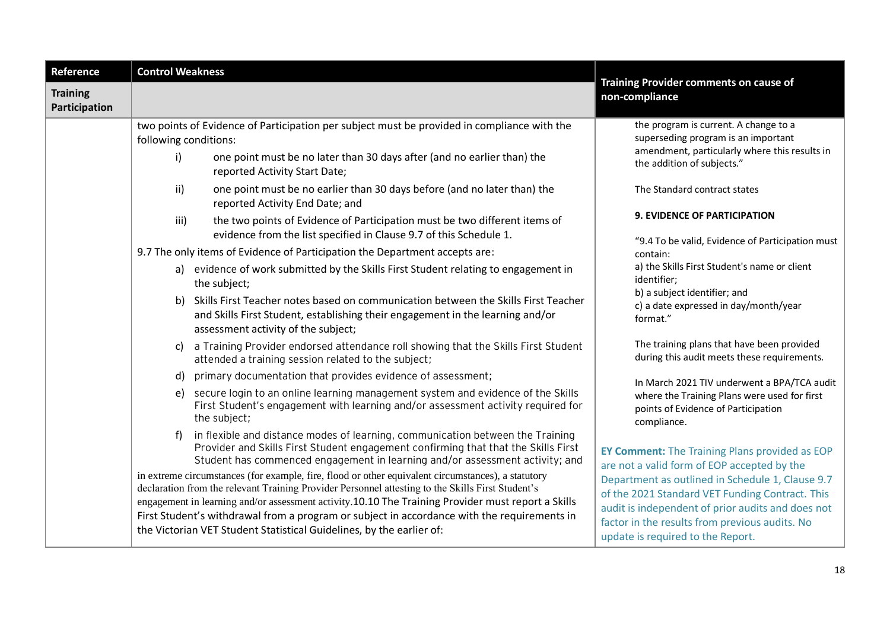| Reference                        | <b>Control Weakness</b>                                                                                                                                                                                                                                                                                                                                                                                                                                                                                                                                                                                                                                                                                                                                                                                                                                                                                                                                                                                                                                                                                                                                     |                                                                                                                                                                                                                                                                                                                                                                                                                                                                                                                                              |  |  |
|----------------------------------|-------------------------------------------------------------------------------------------------------------------------------------------------------------------------------------------------------------------------------------------------------------------------------------------------------------------------------------------------------------------------------------------------------------------------------------------------------------------------------------------------------------------------------------------------------------------------------------------------------------------------------------------------------------------------------------------------------------------------------------------------------------------------------------------------------------------------------------------------------------------------------------------------------------------------------------------------------------------------------------------------------------------------------------------------------------------------------------------------------------------------------------------------------------|----------------------------------------------------------------------------------------------------------------------------------------------------------------------------------------------------------------------------------------------------------------------------------------------------------------------------------------------------------------------------------------------------------------------------------------------------------------------------------------------------------------------------------------------|--|--|
| <b>Training</b><br>Participation |                                                                                                                                                                                                                                                                                                                                                                                                                                                                                                                                                                                                                                                                                                                                                                                                                                                                                                                                                                                                                                                                                                                                                             | Training Provider comments on cause of<br>non-compliance                                                                                                                                                                                                                                                                                                                                                                                                                                                                                     |  |  |
|                                  | two points of Evidence of Participation per subject must be provided in compliance with the<br>following conditions:<br>i)<br>one point must be no later than 30 days after (and no earlier than) the<br>reported Activity Start Date;<br>one point must be no earlier than 30 days before (and no later than) the<br>ii)<br>reported Activity End Date; and<br>the two points of Evidence of Participation must be two different items of<br>iii)<br>evidence from the list specified in Clause 9.7 of this Schedule 1.<br>9.7 The only items of Evidence of Participation the Department accepts are:<br>a) evidence of work submitted by the Skills First Student relating to engagement in<br>the subject;<br>Skills First Teacher notes based on communication between the Skills First Teacher<br>b)<br>and Skills First Student, establishing their engagement in the learning and/or<br>assessment activity of the subject;<br>a Training Provider endorsed attendance roll showing that the Skills First Student<br>c)<br>attended a training session related to the subject;<br>primary documentation that provides evidence of assessment;<br>d) | the program is current. A change to a<br>superseding program is an important<br>amendment, particularly where this results in<br>the addition of subjects."<br>The Standard contract states<br>9. EVIDENCE OF PARTICIPATION<br>"9.4 To be valid, Evidence of Participation must<br>contain:<br>a) the Skills First Student's name or client<br>identifier;<br>b) a subject identifier; and<br>c) a date expressed in day/month/year<br>format."<br>The training plans that have been provided<br>during this audit meets these requirements. |  |  |
|                                  | secure login to an online learning management system and evidence of the Skills<br>e)<br>First Student's engagement with learning and/or assessment activity required for<br>the subject;<br>in flexible and distance modes of learning, communication between the Training<br>f)<br>Provider and Skills First Student engagement confirming that that the Skills First<br>Student has commenced engagement in learning and/or assessment activity; and<br>in extreme circumstances (for example, fire, flood or other equivalent circumstances), a statutory<br>declaration from the relevant Training Provider Personnel attesting to the Skills First Student's<br>engagement in learning and/or assessment activity.10.10 The Training Provider must report a Skills<br>First Student's withdrawal from a program or subject in accordance with the requirements in<br>the Victorian VET Student Statistical Guidelines, by the earlier of:                                                                                                                                                                                                             | In March 2021 TIV underwent a BPA/TCA audit<br>where the Training Plans were used for first<br>points of Evidence of Participation<br>compliance.<br><b>EY Comment:</b> The Training Plans provided as EOP<br>are not a valid form of EOP accepted by the<br>Department as outlined in Schedule 1, Clause 9.7<br>of the 2021 Standard VET Funding Contract. This<br>audit is independent of prior audits and does not<br>factor in the results from previous audits. No<br>update is required to the Report.                                 |  |  |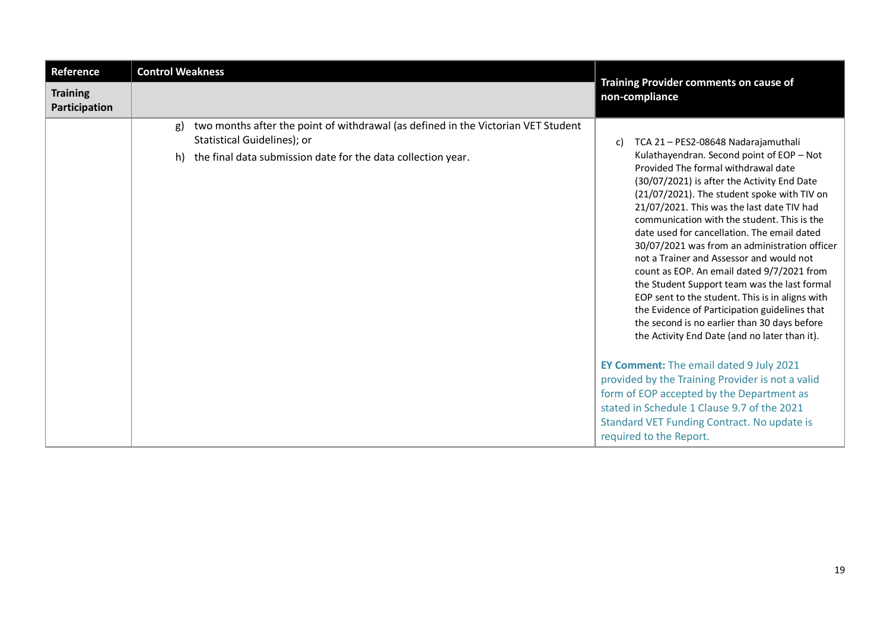| Reference                        | <b>Control Weakness</b>                                                                                                                                                                      |                                                                                                                                                                                                                                                                                                                                                                                                                                                                                                                                                                                                                                                                                                                                                                         |
|----------------------------------|----------------------------------------------------------------------------------------------------------------------------------------------------------------------------------------------|-------------------------------------------------------------------------------------------------------------------------------------------------------------------------------------------------------------------------------------------------------------------------------------------------------------------------------------------------------------------------------------------------------------------------------------------------------------------------------------------------------------------------------------------------------------------------------------------------------------------------------------------------------------------------------------------------------------------------------------------------------------------------|
| <b>Training</b><br>Participation |                                                                                                                                                                                              | Training Provider comments on cause of<br>non-compliance                                                                                                                                                                                                                                                                                                                                                                                                                                                                                                                                                                                                                                                                                                                |
|                                  | two months after the point of withdrawal (as defined in the Victorian VET Student<br>g)<br>Statistical Guidelines); or<br>the final data submission date for the data collection year.<br>h) | TCA 21 - PES2-08648 Nadarajamuthali<br>C)<br>Kulathayendran. Second point of EOP - Not<br>Provided The formal withdrawal date<br>(30/07/2021) is after the Activity End Date<br>(21/07/2021). The student spoke with TIV on<br>21/07/2021. This was the last date TIV had<br>communication with the student. This is the<br>date used for cancellation. The email dated<br>30/07/2021 was from an administration officer<br>not a Trainer and Assessor and would not<br>count as EOP. An email dated 9/7/2021 from<br>the Student Support team was the last formal<br>EOP sent to the student. This is in aligns with<br>the Evidence of Participation guidelines that<br>the second is no earlier than 30 days before<br>the Activity End Date (and no later than it). |
|                                  |                                                                                                                                                                                              | EY Comment: The email dated 9 July 2021<br>provided by the Training Provider is not a valid<br>form of EOP accepted by the Department as<br>stated in Schedule 1 Clause 9.7 of the 2021<br>Standard VET Funding Contract. No update is<br>required to the Report.                                                                                                                                                                                                                                                                                                                                                                                                                                                                                                       |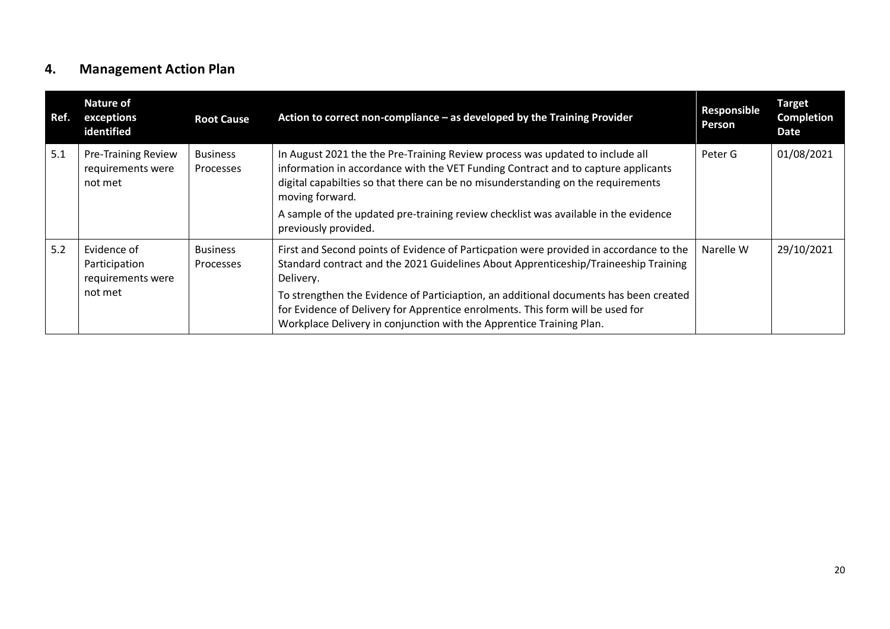## **4. Management Action Plan**

<span id="page-19-0"></span>

| Ref. | <b>Nature of</b><br>exceptions<br>identified               | <b>Root Cause</b>            | Action to correct non-compliance - as developed by the Training Provider                                                                                                                                                                                                  | Responsible<br>Person | <b>Target</b><br><b>Completion</b><br><b>Date</b> |
|------|------------------------------------------------------------|------------------------------|---------------------------------------------------------------------------------------------------------------------------------------------------------------------------------------------------------------------------------------------------------------------------|-----------------------|---------------------------------------------------|
| 5.1  | <b>Pre-Training Review</b><br>requirements were<br>not met | <b>Business</b><br>Processes | In August 2021 the the Pre-Training Review process was updated to include all<br>information in accordance with the VET Funding Contract and to capture applicants<br>digital capabilties so that there can be no misunderstanding on the requirements<br>moving forward. | Peter G               | 01/08/2021                                        |
|      |                                                            |                              | A sample of the updated pre-training review checklist was available in the evidence<br>previously provided.                                                                                                                                                               |                       |                                                   |
| 5.2  | Evidence of<br>Participation<br>requirements were          | <b>Business</b><br>Processes | First and Second points of Evidence of Particpation were provided in accordance to the<br>Standard contract and the 2021 Guidelines About Apprenticeship/Traineeship Training<br>Delivery.                                                                                | Narelle W             | 29/10/2021                                        |
|      | not met                                                    |                              | To strengthen the Evidence of Particiaption, an additional documents has been created<br>for Evidence of Delivery for Apprentice enrolments. This form will be used for<br>Workplace Delivery in conjunction with the Apprentice Training Plan.                           |                       |                                                   |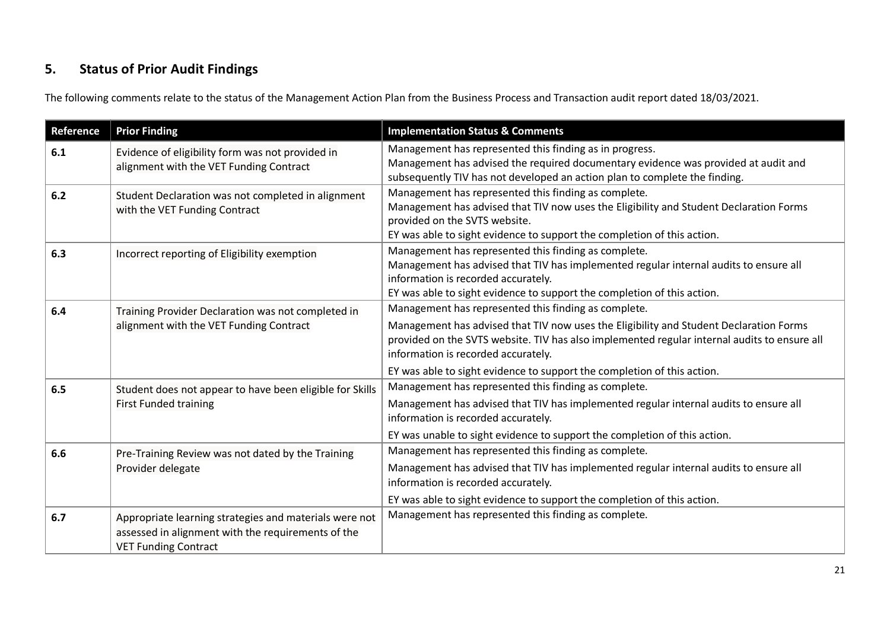# **5. Status of Prior Audit Findings**

The following comments relate to the status of the Management Action Plan from the Business Process and Transaction audit report dated 18/03/2021.

<span id="page-20-0"></span>

| Reference | <b>Prior Finding</b>                                                                                                                        | <b>Implementation Status &amp; Comments</b>                                                                                                                                                                                                                                                                                                                      |
|-----------|---------------------------------------------------------------------------------------------------------------------------------------------|------------------------------------------------------------------------------------------------------------------------------------------------------------------------------------------------------------------------------------------------------------------------------------------------------------------------------------------------------------------|
| 6.1       | Evidence of eligibility form was not provided in<br>alignment with the VET Funding Contract                                                 | Management has represented this finding as in progress.<br>Management has advised the required documentary evidence was provided at audit and<br>subsequently TIV has not developed an action plan to complete the finding.                                                                                                                                      |
| 6.2       | Student Declaration was not completed in alignment<br>with the VET Funding Contract                                                         | Management has represented this finding as complete.<br>Management has advised that TIV now uses the Eligibility and Student Declaration Forms<br>provided on the SVTS website.<br>EY was able to sight evidence to support the completion of this action.                                                                                                       |
| 6.3       | Incorrect reporting of Eligibility exemption                                                                                                | Management has represented this finding as complete.<br>Management has advised that TIV has implemented regular internal audits to ensure all<br>information is recorded accurately.<br>EY was able to sight evidence to support the completion of this action.                                                                                                  |
| 6.4       | Training Provider Declaration was not completed in<br>alignment with the VET Funding Contract                                               | Management has represented this finding as complete.<br>Management has advised that TIV now uses the Eligibility and Student Declaration Forms<br>provided on the SVTS website. TIV has also implemented regular internal audits to ensure all<br>information is recorded accurately.<br>EY was able to sight evidence to support the completion of this action. |
| 6.5       | Student does not appear to have been eligible for Skills<br><b>First Funded training</b>                                                    | Management has represented this finding as complete.<br>Management has advised that TIV has implemented regular internal audits to ensure all<br>information is recorded accurately.<br>EY was unable to sight evidence to support the completion of this action.                                                                                                |
| 6.6       | Pre-Training Review was not dated by the Training<br>Provider delegate                                                                      | Management has represented this finding as complete.<br>Management has advised that TIV has implemented regular internal audits to ensure all<br>information is recorded accurately.<br>EY was able to sight evidence to support the completion of this action.                                                                                                  |
| 6.7       | Appropriate learning strategies and materials were not<br>assessed in alignment with the requirements of the<br><b>VET Funding Contract</b> | Management has represented this finding as complete.                                                                                                                                                                                                                                                                                                             |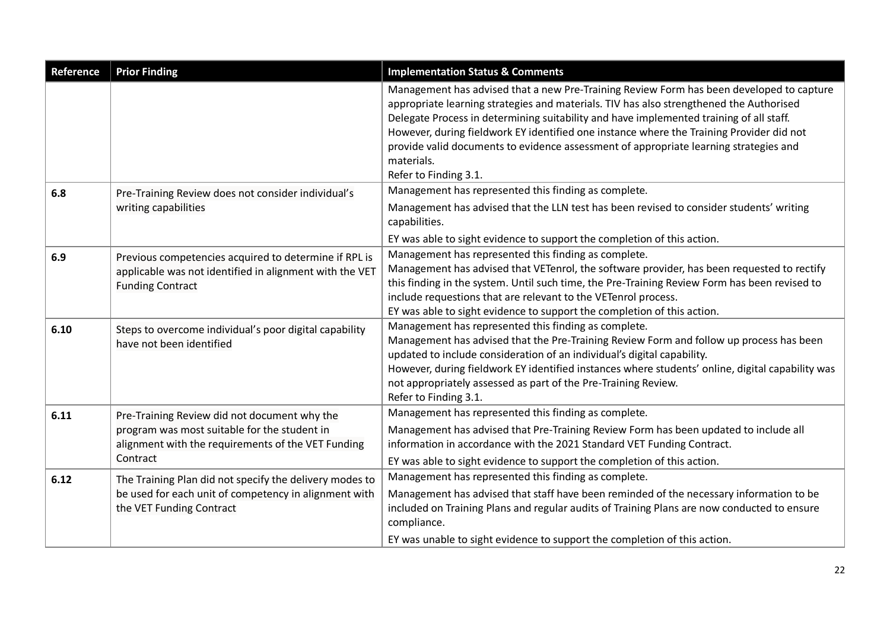| Reference | <b>Prior Finding</b>                                                                                                                                           | <b>Implementation Status &amp; Comments</b>                                                                                                                                                                                                                                                                                                                                                                                                                                                                |
|-----------|----------------------------------------------------------------------------------------------------------------------------------------------------------------|------------------------------------------------------------------------------------------------------------------------------------------------------------------------------------------------------------------------------------------------------------------------------------------------------------------------------------------------------------------------------------------------------------------------------------------------------------------------------------------------------------|
|           |                                                                                                                                                                | Management has advised that a new Pre-Training Review Form has been developed to capture<br>appropriate learning strategies and materials. TIV has also strengthened the Authorised<br>Delegate Process in determining suitability and have implemented training of all staff.<br>However, during fieldwork EY identified one instance where the Training Provider did not<br>provide valid documents to evidence assessment of appropriate learning strategies and<br>materials.<br>Refer to Finding 3.1. |
| 6.8       | Pre-Training Review does not consider individual's<br>writing capabilities                                                                                     | Management has represented this finding as complete.<br>Management has advised that the LLN test has been revised to consider students' writing<br>capabilities.<br>EY was able to sight evidence to support the completion of this action.                                                                                                                                                                                                                                                                |
| 6.9       | Previous competencies acquired to determine if RPL is<br>applicable was not identified in alignment with the VET<br><b>Funding Contract</b>                    | Management has represented this finding as complete.<br>Management has advised that VETenrol, the software provider, has been requested to rectify<br>this finding in the system. Until such time, the Pre-Training Review Form has been revised to<br>include requestions that are relevant to the VETenrol process.<br>EY was able to sight evidence to support the completion of this action.                                                                                                           |
| 6.10      | Steps to overcome individual's poor digital capability<br>have not been identified                                                                             | Management has represented this finding as complete.<br>Management has advised that the Pre-Training Review Form and follow up process has been<br>updated to include consideration of an individual's digital capability.<br>However, during fieldwork EY identified instances where students' online, digital capability was<br>not appropriately assessed as part of the Pre-Training Review.<br>Refer to Finding 3.1.                                                                                  |
| 6.11      | Pre-Training Review did not document why the<br>program was most suitable for the student in<br>alignment with the requirements of the VET Funding<br>Contract | Management has represented this finding as complete.<br>Management has advised that Pre-Training Review Form has been updated to include all<br>information in accordance with the 2021 Standard VET Funding Contract.<br>EY was able to sight evidence to support the completion of this action.                                                                                                                                                                                                          |
| 6.12      | The Training Plan did not specify the delivery modes to<br>be used for each unit of competency in alignment with<br>the VET Funding Contract                   | Management has represented this finding as complete.<br>Management has advised that staff have been reminded of the necessary information to be<br>included on Training Plans and regular audits of Training Plans are now conducted to ensure<br>compliance.<br>EY was unable to sight evidence to support the completion of this action.                                                                                                                                                                 |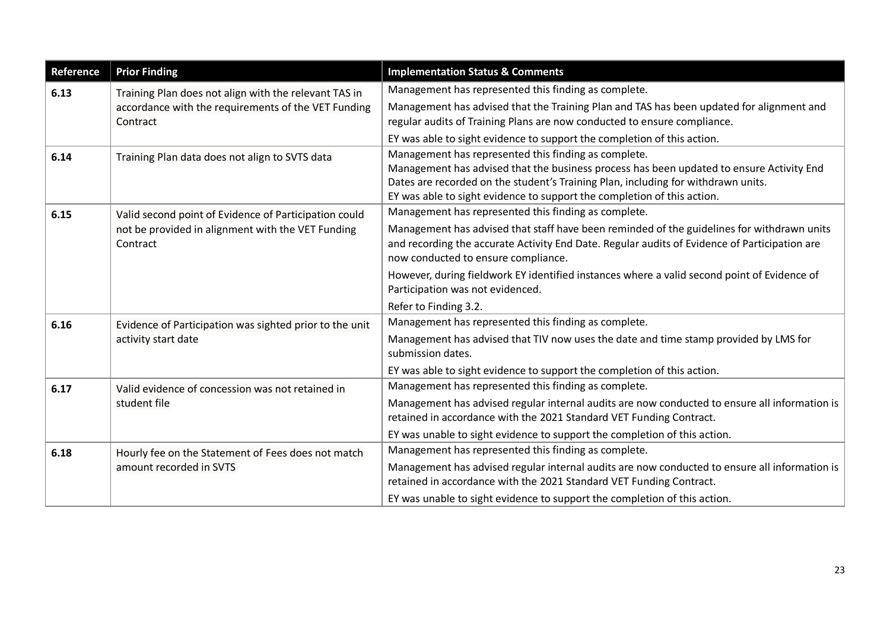| Reference | <b>Prior Finding</b>                                                                                                     | <b>Implementation Status &amp; Comments</b>                                                                                                                                                                                                                                                                      |  |  |
|-----------|--------------------------------------------------------------------------------------------------------------------------|------------------------------------------------------------------------------------------------------------------------------------------------------------------------------------------------------------------------------------------------------------------------------------------------------------------|--|--|
| 6.13      | Training Plan does not align with the relevant TAS in<br>accordance with the requirements of the VET Funding<br>Contract | Management has represented this finding as complete.<br>Management has advised that the Training Plan and TAS has been updated for alignment and<br>regular audits of Training Plans are now conducted to ensure compliance.                                                                                     |  |  |
|           |                                                                                                                          | EY was able to sight evidence to support the completion of this action.                                                                                                                                                                                                                                          |  |  |
| 6.14      | Training Plan data does not align to SVTS data                                                                           | Management has represented this finding as complete.<br>Management has advised that the business process has been updated to ensure Activity End<br>Dates are recorded on the student's Training Plan, including for withdrawn units.<br>EY was able to sight evidence to support the completion of this action. |  |  |
| 6.15      | Valid second point of Evidence of Participation could                                                                    | Management has represented this finding as complete.                                                                                                                                                                                                                                                             |  |  |
|           | not be provided in alignment with the VET Funding<br>Contract                                                            | Management has advised that staff have been reminded of the guidelines for withdrawn units<br>and recording the accurate Activity End Date. Regular audits of Evidence of Participation are<br>now conducted to ensure compliance.                                                                               |  |  |
|           |                                                                                                                          | However, during fieldwork EY identified instances where a valid second point of Evidence of<br>Participation was not evidenced.                                                                                                                                                                                  |  |  |
|           |                                                                                                                          | Refer to Finding 3.2.                                                                                                                                                                                                                                                                                            |  |  |
| 6.16      | Evidence of Participation was sighted prior to the unit<br>activity start date                                           | Management has represented this finding as complete.                                                                                                                                                                                                                                                             |  |  |
|           |                                                                                                                          | Management has advised that TIV now uses the date and time stamp provided by LMS for<br>submission dates.                                                                                                                                                                                                        |  |  |
|           |                                                                                                                          | EY was able to sight evidence to support the completion of this action.                                                                                                                                                                                                                                          |  |  |
| 6.17      | Valid evidence of concession was not retained in                                                                         | Management has represented this finding as complete.                                                                                                                                                                                                                                                             |  |  |
|           | student file                                                                                                             | Management has advised regular internal audits are now conducted to ensure all information is<br>retained in accordance with the 2021 Standard VET Funding Contract.                                                                                                                                             |  |  |
|           |                                                                                                                          | EY was unable to sight evidence to support the completion of this action.                                                                                                                                                                                                                                        |  |  |
| 6.18      | Hourly fee on the Statement of Fees does not match                                                                       | Management has represented this finding as complete.                                                                                                                                                                                                                                                             |  |  |
|           | amount recorded in SVTS                                                                                                  | Management has advised regular internal audits are now conducted to ensure all information is<br>retained in accordance with the 2021 Standard VET Funding Contract.                                                                                                                                             |  |  |
|           |                                                                                                                          | EY was unable to sight evidence to support the completion of this action.                                                                                                                                                                                                                                        |  |  |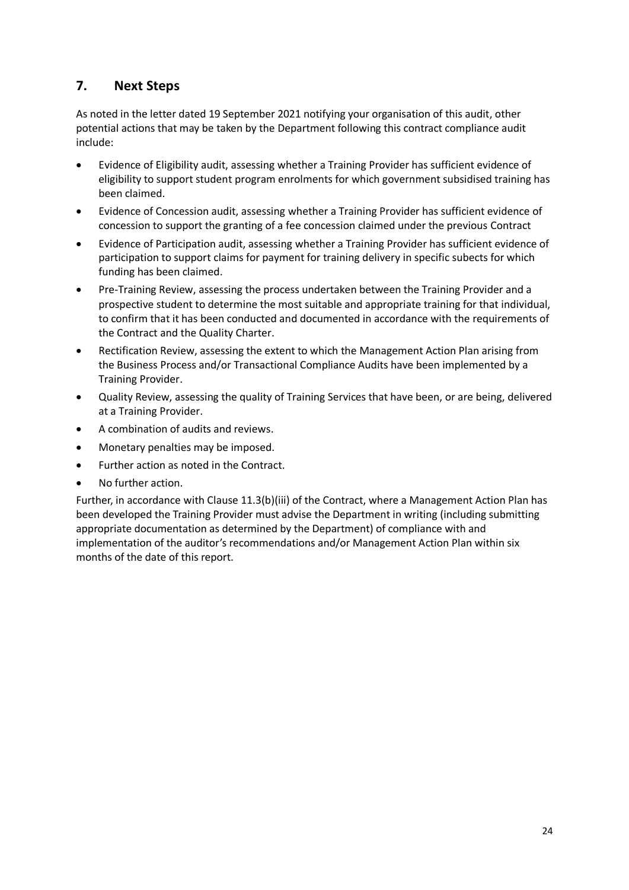## <span id="page-23-0"></span>**7. Next Steps**

As noted in the letter dated 19 September 2021 notifying your organisation of this audit, other potential actions that may be taken by the Department following this contract compliance audit include:

- Evidence of Eligibility audit, assessing whether a Training Provider has sufficient evidence of eligibility to support student program enrolments for which government subsidised training has been claimed.
- Evidence of Concession audit, assessing whether a Training Provider has sufficient evidence of concession to support the granting of a fee concession claimed under the previous Contract
- Evidence of Participation audit, assessing whether a Training Provider has sufficient evidence of participation to support claims for payment for training delivery in specific subects for which funding has been claimed.
- Pre-Training Review, assessing the process undertaken between the Training Provider and a prospective student to determine the most suitable and appropriate training for that individual, to confirm that it has been conducted and documented in accordance with the requirements of the Contract and the Quality Charter.
- Rectification Review, assessing the extent to which the Management Action Plan arising from the Business Process and/or Transactional Compliance Audits have been implemented by a Training Provider.
- Quality Review, assessing the quality of Training Services that have been, or are being, delivered at a Training Provider.
- A combination of audits and reviews.
- Monetary penalties may be imposed.
- Further action as noted in the Contract.
- No further action.

Further, in accordance with Clause 11.3(b)(iii) of the Contract, where a Management Action Plan has been developed the Training Provider must advise the Department in writing (including submitting appropriate documentation as determined by the Department) of compliance with and implementation of the auditor's recommendations and/or Management Action Plan within six months of the date of this report.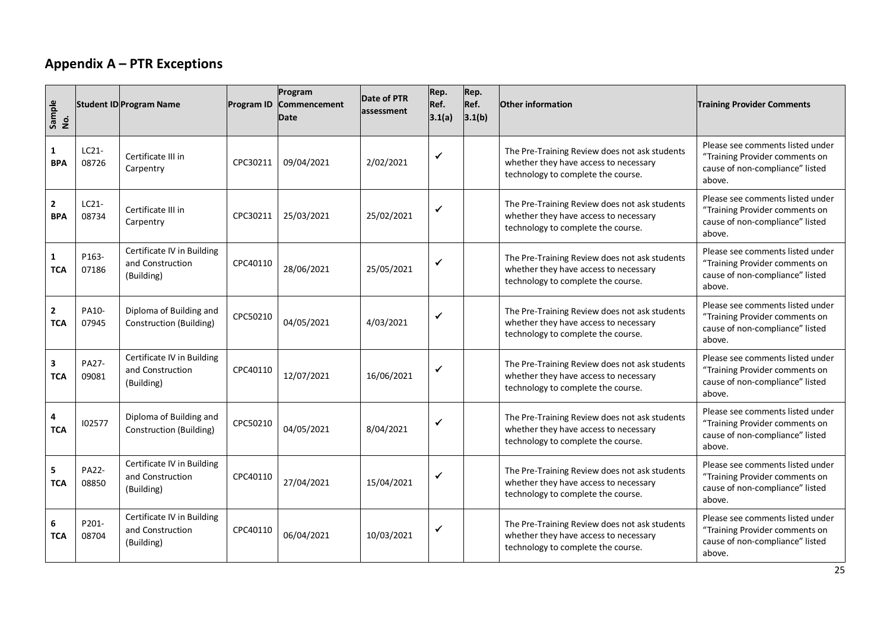## **Appendix A – PTR Exceptions**

<span id="page-24-0"></span>

| Sample<br>No.                |                  | <b>Student ID Program Name</b>                               | <b>Program ID</b> | Program<br>Commencement<br><b>Date</b> | Date of PTR<br>assessment | Rep.<br>Ref.<br>3.1(a) | Rep.<br>Ref.<br>3.1(b) | <b>Other information</b>                                                                                                     | <b>Training Provider Comments</b>                                                                               |
|------------------------------|------------------|--------------------------------------------------------------|-------------------|----------------------------------------|---------------------------|------------------------|------------------------|------------------------------------------------------------------------------------------------------------------------------|-----------------------------------------------------------------------------------------------------------------|
| $\mathbf{1}$<br><b>BPA</b>   | $LC21-$<br>08726 | Certificate III in<br>Carpentry                              | CPC30211          | 09/04/2021                             | 2/02/2021                 | ✓                      |                        | The Pre-Training Review does not ask students<br>whether they have access to necessary<br>technology to complete the course. | Please see comments listed under<br>"Training Provider comments on<br>cause of non-compliance" listed<br>above. |
| $\overline{2}$<br><b>BPA</b> | LC21-<br>08734   | Certificate III in<br>Carpentry                              | CPC30211          | 25/03/2021                             | 25/02/2021                | ✔                      |                        | The Pre-Training Review does not ask students<br>whether they have access to necessary<br>technology to complete the course. | Please see comments listed under<br>"Training Provider comments on<br>cause of non-compliance" listed<br>above. |
| $\mathbf{1}$<br><b>TCA</b>   | P163-<br>07186   | Certificate IV in Building<br>and Construction<br>(Building) | CPC40110          | 28/06/2021                             | 25/05/2021                | ✔                      |                        | The Pre-Training Review does not ask students<br>whether they have access to necessary<br>technology to complete the course. | Please see comments listed under<br>"Training Provider comments on<br>cause of non-compliance" listed<br>above. |
| $\mathbf{2}$<br><b>TCA</b>   | PA10-<br>07945   | Diploma of Building and<br><b>Construction (Building)</b>    | CPC50210          | 04/05/2021                             | 4/03/2021                 | ✓                      |                        | The Pre-Training Review does not ask students<br>whether they have access to necessary<br>technology to complete the course. | Please see comments listed under<br>"Training Provider comments on<br>cause of non-compliance" listed<br>above. |
| 3<br><b>TCA</b>              | PA27-<br>09081   | Certificate IV in Building<br>and Construction<br>(Building) | CPC40110          | 12/07/2021                             | 16/06/2021                |                        |                        | The Pre-Training Review does not ask students<br>whether they have access to necessary<br>technology to complete the course. | Please see comments listed under<br>"Training Provider comments on<br>cause of non-compliance" listed<br>above. |
| 4<br><b>TCA</b>              | 102577           | Diploma of Building and<br><b>Construction (Building)</b>    | CPC50210          | 04/05/2021                             | 8/04/2021                 | ✓                      |                        | The Pre-Training Review does not ask students<br>whether they have access to necessary<br>technology to complete the course. | Please see comments listed under<br>"Training Provider comments on<br>cause of non-compliance" listed<br>above. |
| 5<br><b>TCA</b>              | PA22-<br>08850   | Certificate IV in Building<br>and Construction<br>(Building) | CPC40110          | 27/04/2021                             | 15/04/2021                | ✓                      |                        | The Pre-Training Review does not ask students<br>whether they have access to necessary<br>technology to complete the course. | Please see comments listed under<br>"Training Provider comments on<br>cause of non-compliance" listed<br>above. |
| 6<br><b>TCA</b>              | P201-<br>08704   | Certificate IV in Building<br>and Construction<br>(Building) | CPC40110          | 06/04/2021                             | 10/03/2021                | ✓                      |                        | The Pre-Training Review does not ask students<br>whether they have access to necessary<br>technology to complete the course. | Please see comments listed under<br>"Training Provider comments on<br>cause of non-compliance" listed<br>above. |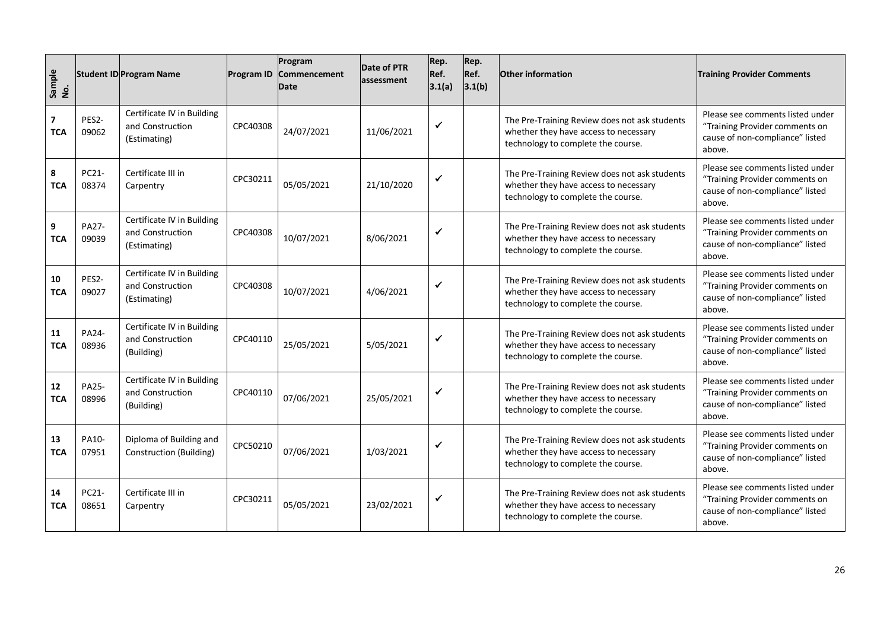| Sample<br>No.                         |                       | <b>Student ID Program Name</b>                                 | <b>Program ID</b> | Program<br>Commencement<br><b>Date</b> | Date of PTR<br>assessment | Rep.<br>Ref.<br>3.1(a) | Rep.<br>Ref.<br>3.1(b) | <b>Other information</b>                                                                                                     | <b>Training Provider Comments</b>                                                                               |
|---------------------------------------|-----------------------|----------------------------------------------------------------|-------------------|----------------------------------------|---------------------------|------------------------|------------------------|------------------------------------------------------------------------------------------------------------------------------|-----------------------------------------------------------------------------------------------------------------|
| $\overline{\mathbf{z}}$<br><b>TCA</b> | PES2-<br>09062        | Certificate IV in Building<br>and Construction<br>(Estimating) | CPC40308          | 24/07/2021                             | 11/06/2021                | $\checkmark$           |                        | The Pre-Training Review does not ask students<br>whether they have access to necessary<br>technology to complete the course. | Please see comments listed under<br>"Training Provider comments on<br>cause of non-compliance" listed<br>above. |
| 8<br><b>TCA</b>                       | PC21-<br>08374        | Certificate III in<br>Carpentry                                | CPC30211          | 05/05/2021                             | 21/10/2020                | $\checkmark$           |                        | The Pre-Training Review does not ask students<br>whether they have access to necessary<br>technology to complete the course. | Please see comments listed under<br>"Training Provider comments on<br>cause of non-compliance" listed<br>above. |
| 9<br><b>TCA</b>                       | PA27-<br>09039        | Certificate IV in Building<br>and Construction<br>(Estimating) | CPC40308          | 10/07/2021                             | 8/06/2021                 | $\checkmark$           |                        | The Pre-Training Review does not ask students<br>whether they have access to necessary<br>technology to complete the course. | Please see comments listed under<br>"Training Provider comments on<br>cause of non-compliance" listed<br>above. |
| 10<br><b>TCA</b>                      | PES2-<br>09027        | Certificate IV in Building<br>and Construction<br>(Estimating) | CPC40308          | 10/07/2021                             | 4/06/2021                 | $\checkmark$           |                        | The Pre-Training Review does not ask students<br>whether they have access to necessary<br>technology to complete the course. | Please see comments listed under<br>"Training Provider comments on<br>cause of non-compliance" listed<br>above. |
| 11<br><b>TCA</b>                      | PA24-<br>08936        | Certificate IV in Building<br>and Construction<br>(Building)   | CPC40110          | 25/05/2021                             | 5/05/2021                 | $\checkmark$           |                        | The Pre-Training Review does not ask students<br>whether they have access to necessary<br>technology to complete the course. | Please see comments listed under<br>"Training Provider comments on<br>cause of non-compliance" listed<br>above. |
| 12<br><b>TCA</b>                      | <b>PA25-</b><br>08996 | Certificate IV in Building<br>and Construction<br>(Building)   | CPC40110          | 07/06/2021                             | 25/05/2021                | $\checkmark$           |                        | The Pre-Training Review does not ask students<br>whether they have access to necessary<br>technology to complete the course. | Please see comments listed under<br>"Training Provider comments on<br>cause of non-compliance" listed<br>above. |
| 13<br><b>TCA</b>                      | PA10-<br>07951        | Diploma of Building and<br><b>Construction (Building)</b>      | CPC50210          | 07/06/2021                             | 1/03/2021                 | $\checkmark$           |                        | The Pre-Training Review does not ask students<br>whether they have access to necessary<br>technology to complete the course. | Please see comments listed under<br>"Training Provider comments on<br>cause of non-compliance" listed<br>above. |
| 14<br><b>TCA</b>                      | PC21-<br>08651        | Certificate III in<br>Carpentry                                | CPC30211          | 05/05/2021                             | 23/02/2021                | $\checkmark$           |                        | The Pre-Training Review does not ask students<br>whether they have access to necessary<br>technology to complete the course. | Please see comments listed under<br>"Training Provider comments on<br>cause of non-compliance" listed<br>above. |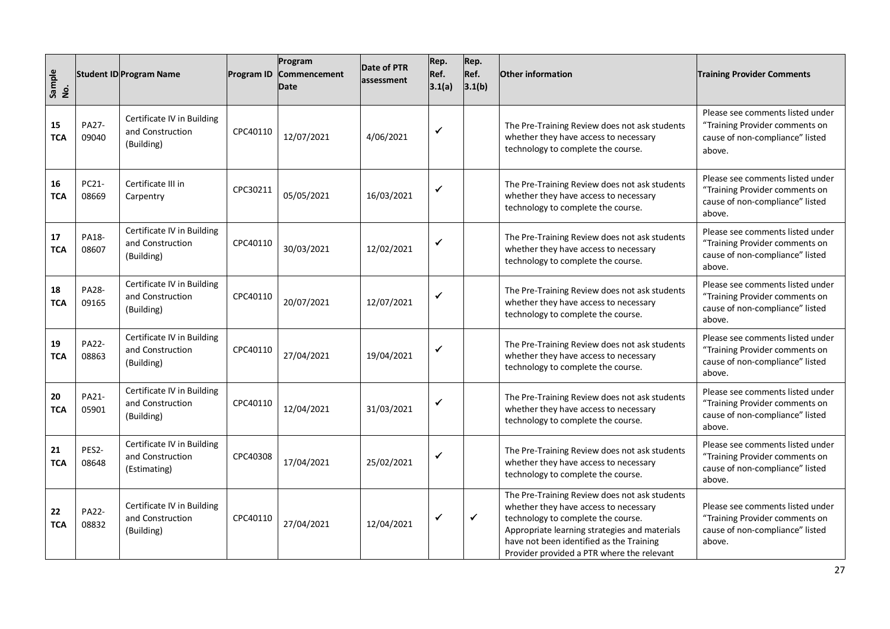| Sample<br>No.    |                       | <b>Student ID Program Name</b>                                 | <b>Program ID</b> | Program<br>Commencement<br>Date | <b>Date of PTR</b><br>assessment | Rep.<br>Ref.<br>3.1(a) | Rep.<br>Ref.<br>3.1(b) | <b>Other information</b>                                                                                                                                                                                                                                                | <b>Training Provider Comments</b>                                                                               |
|------------------|-----------------------|----------------------------------------------------------------|-------------------|---------------------------------|----------------------------------|------------------------|------------------------|-------------------------------------------------------------------------------------------------------------------------------------------------------------------------------------------------------------------------------------------------------------------------|-----------------------------------------------------------------------------------------------------------------|
| 15<br><b>TCA</b> | <b>PA27-</b><br>09040 | Certificate IV in Building<br>and Construction<br>(Building)   | CPC40110          | 12/07/2021                      | 4/06/2021                        | $\checkmark$           |                        | The Pre-Training Review does not ask students<br>whether they have access to necessary<br>technology to complete the course.                                                                                                                                            | Please see comments listed under<br>"Training Provider comments on<br>cause of non-compliance" listed<br>above. |
| 16<br><b>TCA</b> | PC21-<br>08669        | Certificate III in<br>Carpentry                                | CPC30211          | 05/05/2021                      | 16/03/2021                       | $\checkmark$           |                        | The Pre-Training Review does not ask students<br>whether they have access to necessary<br>technology to complete the course.                                                                                                                                            | Please see comments listed under<br>"Training Provider comments on<br>cause of non-compliance" listed<br>above. |
| 17<br><b>TCA</b> | PA18-<br>08607        | Certificate IV in Building<br>and Construction<br>(Building)   | CPC40110          | 30/03/2021                      | 12/02/2021                       | $\checkmark$           |                        | The Pre-Training Review does not ask students<br>whether they have access to necessary<br>technology to complete the course.                                                                                                                                            | Please see comments listed under<br>"Training Provider comments on<br>cause of non-compliance" listed<br>above. |
| 18<br><b>TCA</b> | PA28-<br>09165        | Certificate IV in Building<br>and Construction<br>(Building)   | CPC40110          | 20/07/2021                      | 12/07/2021                       | $\checkmark$           |                        | The Pre-Training Review does not ask students<br>whether they have access to necessary<br>technology to complete the course.                                                                                                                                            | Please see comments listed under<br>"Training Provider comments on<br>cause of non-compliance" listed<br>above. |
| 19<br><b>TCA</b> | <b>PA22-</b><br>08863 | Certificate IV in Building<br>and Construction<br>(Building)   | CPC40110          | 27/04/2021                      | 19/04/2021                       | $\checkmark$           |                        | The Pre-Training Review does not ask students<br>whether they have access to necessary<br>technology to complete the course.                                                                                                                                            | Please see comments listed under<br>"Training Provider comments on<br>cause of non-compliance" listed<br>above. |
| 20<br><b>TCA</b> | PA21-<br>05901        | Certificate IV in Building<br>and Construction<br>(Building)   | CPC40110          | 12/04/2021                      | 31/03/2021                       | $\checkmark$           |                        | The Pre-Training Review does not ask students<br>whether they have access to necessary<br>technology to complete the course.                                                                                                                                            | Please see comments listed under<br>"Training Provider comments on<br>cause of non-compliance" listed<br>above. |
| 21<br><b>TCA</b> | PES2-<br>08648        | Certificate IV in Building<br>and Construction<br>(Estimating) | CPC40308          | 17/04/2021                      | 25/02/2021                       | $\checkmark$           |                        | The Pre-Training Review does not ask students<br>whether they have access to necessary<br>technology to complete the course.                                                                                                                                            | Please see comments listed under<br>"Training Provider comments on<br>cause of non-compliance" listed<br>above. |
| 22<br><b>TCA</b> | PA22-<br>08832        | Certificate IV in Building<br>and Construction<br>(Building)   | CPC40110          | 27/04/2021                      | 12/04/2021                       | $\checkmark$           | ✔                      | The Pre-Training Review does not ask students<br>whether they have access to necessary<br>technology to complete the course.<br>Appropriate learning strategies and materials<br>have not been identified as the Training<br>Provider provided a PTR where the relevant | Please see comments listed under<br>"Training Provider comments on<br>cause of non-compliance" listed<br>above. |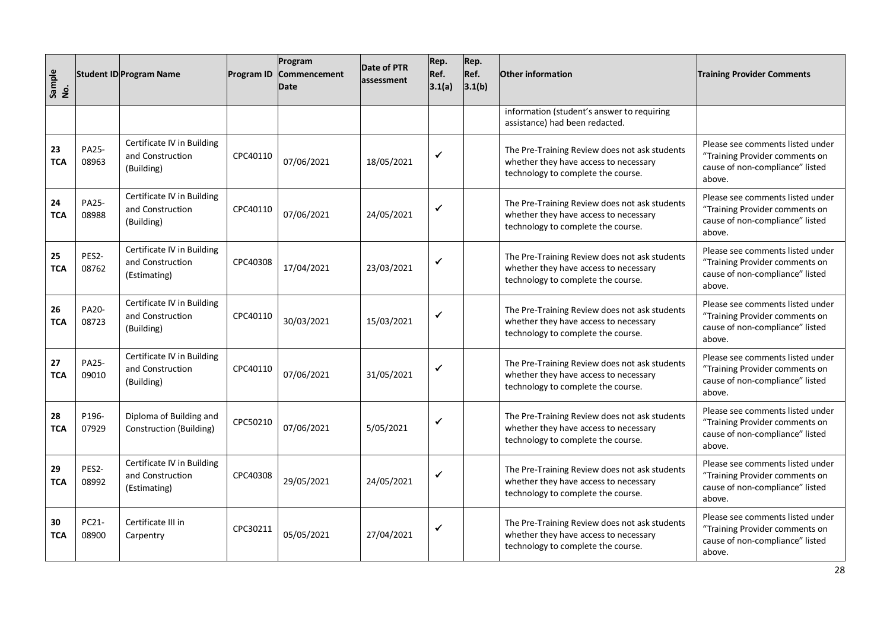| Sample<br>No.    |                | <b>Student ID Program Name</b>                                 | Program ID | Program<br>Commencement<br><b>Date</b> | Date of PTR<br>assessment | Rep.<br>Ref.<br>3.1(a) | Rep.<br>Ref.<br>3.1(b) | <b>Other information</b>                                                                                                     | <b>Training Provider Comments</b>                                                                               |
|------------------|----------------|----------------------------------------------------------------|------------|----------------------------------------|---------------------------|------------------------|------------------------|------------------------------------------------------------------------------------------------------------------------------|-----------------------------------------------------------------------------------------------------------------|
|                  |                |                                                                |            |                                        |                           |                        |                        | information (student's answer to requiring<br>assistance) had been redacted.                                                 |                                                                                                                 |
| 23<br><b>TCA</b> | PA25-<br>08963 | Certificate IV in Building<br>and Construction<br>(Building)   | CPC40110   | 07/06/2021                             | 18/05/2021                | ✓                      |                        | The Pre-Training Review does not ask students<br>whether they have access to necessary<br>technology to complete the course. | Please see comments listed under<br>"Training Provider comments on<br>cause of non-compliance" listed<br>above. |
| 24<br><b>TCA</b> | PA25-<br>08988 | Certificate IV in Building<br>and Construction<br>(Building)   | CPC40110   | 07/06/2021                             | 24/05/2021                | ✔                      |                        | The Pre-Training Review does not ask students<br>whether they have access to necessary<br>technology to complete the course. | Please see comments listed under<br>"Training Provider comments on<br>cause of non-compliance" listed<br>above. |
| 25<br><b>TCA</b> | PES2-<br>08762 | Certificate IV in Building<br>and Construction<br>(Estimating) | CPC40308   | 17/04/2021                             | 23/03/2021                | ✓                      |                        | The Pre-Training Review does not ask students<br>whether they have access to necessary<br>technology to complete the course. | Please see comments listed under<br>"Training Provider comments on<br>cause of non-compliance" listed<br>above. |
| 26<br><b>TCA</b> | PA20-<br>08723 | Certificate IV in Building<br>and Construction<br>(Building)   | CPC40110   | 30/03/2021                             | 15/03/2021                | ✓                      |                        | The Pre-Training Review does not ask students<br>whether they have access to necessary<br>technology to complete the course. | Please see comments listed under<br>"Training Provider comments on<br>cause of non-compliance" listed<br>above. |
| 27<br><b>TCA</b> | PA25-<br>09010 | Certificate IV in Building<br>and Construction<br>(Building)   | CPC40110   | 07/06/2021                             | 31/05/2021                | ✓                      |                        | The Pre-Training Review does not ask students<br>whether they have access to necessary<br>technology to complete the course. | Please see comments listed under<br>"Training Provider comments on<br>cause of non-compliance" listed<br>above. |
| 28<br><b>TCA</b> | P196-<br>07929 | Diploma of Building and<br><b>Construction (Building)</b>      | CPC50210   | 07/06/2021                             | 5/05/2021                 | ✔                      |                        | The Pre-Training Review does not ask students<br>whether they have access to necessary<br>technology to complete the course. | Please see comments listed under<br>"Training Provider comments on<br>cause of non-compliance" listed<br>above. |
| 29<br><b>TCA</b> | PES2-<br>08992 | Certificate IV in Building<br>and Construction<br>(Estimating) | CPC40308   | 29/05/2021                             | 24/05/2021                | ✓                      |                        | The Pre-Training Review does not ask students<br>whether they have access to necessary<br>technology to complete the course. | Please see comments listed under<br>"Training Provider comments on<br>cause of non-compliance" listed<br>above. |
| 30<br><b>TCA</b> | PC21-<br>08900 | Certificate III in<br>Carpentry                                | CPC30211   | 05/05/2021                             | 27/04/2021                | ✓                      |                        | The Pre-Training Review does not ask students<br>whether they have access to necessary<br>technology to complete the course. | Please see comments listed under<br>"Training Provider comments on<br>cause of non-compliance" listed<br>above. |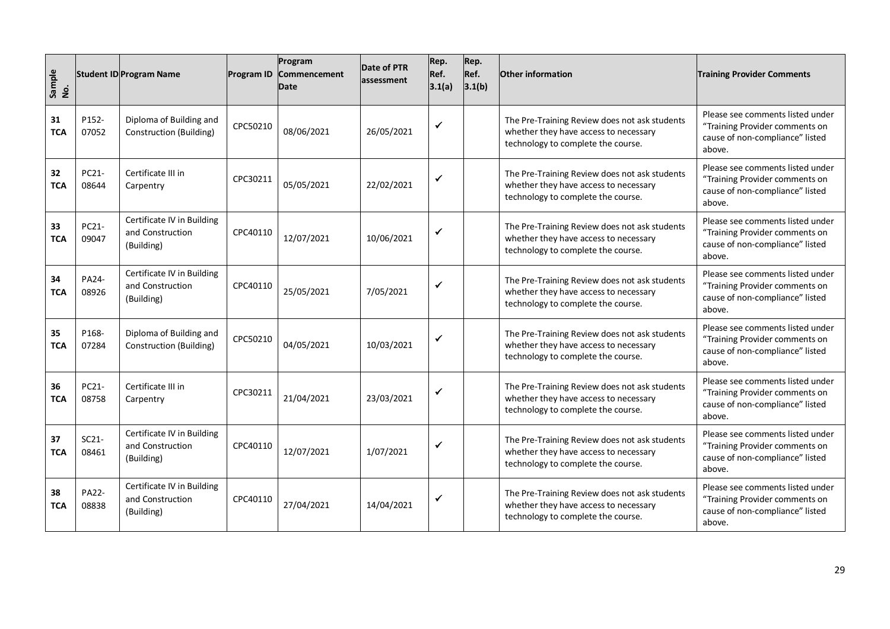| Sample<br>No.    |                       | <b>Student ID Program Name</b>                               | <b>Program ID</b> | Program<br>Commencement<br><b>Date</b> | Date of PTR<br>assessment | Rep.<br>Ref.<br>3.1(a) | Rep.<br>Ref.<br>3.1(b) | <b>Other information</b>                                                                                                     | <b>Training Provider Comments</b>                                                                               |
|------------------|-----------------------|--------------------------------------------------------------|-------------------|----------------------------------------|---------------------------|------------------------|------------------------|------------------------------------------------------------------------------------------------------------------------------|-----------------------------------------------------------------------------------------------------------------|
| 31<br><b>TCA</b> | P152-<br>07052        | Diploma of Building and<br>Construction (Building)           | CPC50210          | 08/06/2021                             | 26/05/2021                | $\checkmark$           |                        | The Pre-Training Review does not ask students<br>whether they have access to necessary<br>technology to complete the course. | Please see comments listed under<br>"Training Provider comments on<br>cause of non-compliance" listed<br>above. |
| 32<br><b>TCA</b> | PC21-<br>08644        | Certificate III in<br>Carpentry                              | CPC30211          | 05/05/2021                             | 22/02/2021                | $\checkmark$           |                        | The Pre-Training Review does not ask students<br>whether they have access to necessary<br>technology to complete the course. | Please see comments listed under<br>"Training Provider comments on<br>cause of non-compliance" listed<br>above. |
| 33<br><b>TCA</b> | PC21-<br>09047        | Certificate IV in Building<br>and Construction<br>(Building) | CPC40110          | 12/07/2021                             | 10/06/2021                | $\checkmark$           |                        | The Pre-Training Review does not ask students<br>whether they have access to necessary<br>technology to complete the course. | Please see comments listed under<br>"Training Provider comments on<br>cause of non-compliance" listed<br>above. |
| 34<br><b>TCA</b> | PA24-<br>08926        | Certificate IV in Building<br>and Construction<br>(Building) | CPC40110          | 25/05/2021                             | 7/05/2021                 | $\checkmark$           |                        | The Pre-Training Review does not ask students<br>whether they have access to necessary<br>technology to complete the course. | Please see comments listed under<br>"Training Provider comments on<br>cause of non-compliance" listed<br>above. |
| 35<br><b>TCA</b> | P168-<br>07284        | Diploma of Building and<br>Construction (Building)           | CPC50210          | 04/05/2021                             | 10/03/2021                | $\checkmark$           |                        | The Pre-Training Review does not ask students<br>whether they have access to necessary<br>technology to complete the course. | Please see comments listed under<br>"Training Provider comments on<br>cause of non-compliance" listed<br>above. |
| 36<br><b>TCA</b> | PC21-<br>08758        | Certificate III in<br>Carpentry                              | CPC30211          | 21/04/2021                             | 23/03/2021                | $\checkmark$           |                        | The Pre-Training Review does not ask students<br>whether they have access to necessary<br>technology to complete the course. | Please see comments listed under<br>"Training Provider comments on<br>cause of non-compliance" listed<br>above. |
| 37<br><b>TCA</b> | $SC21-$<br>08461      | Certificate IV in Building<br>and Construction<br>(Building) | CPC40110          | 12/07/2021                             | 1/07/2021                 | $\checkmark$           |                        | The Pre-Training Review does not ask students<br>whether they have access to necessary<br>technology to complete the course. | Please see comments listed under<br>"Training Provider comments on<br>cause of non-compliance" listed<br>above. |
| 38<br><b>TCA</b> | <b>PA22-</b><br>08838 | Certificate IV in Building<br>and Construction<br>(Building) | CPC40110          | 27/04/2021                             | 14/04/2021                | ✓                      |                        | The Pre-Training Review does not ask students<br>whether they have access to necessary<br>technology to complete the course. | Please see comments listed under<br>"Training Provider comments on<br>cause of non-compliance" listed<br>above. |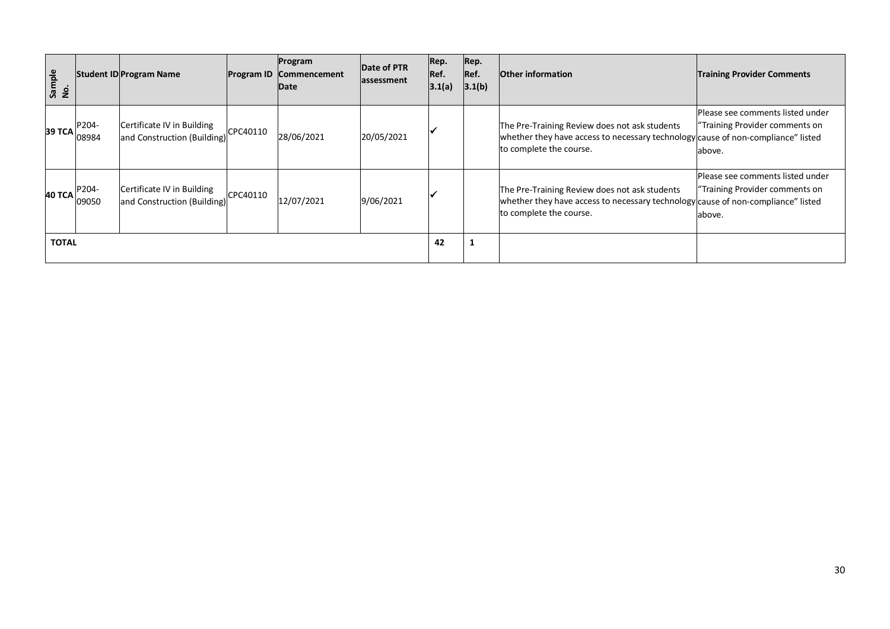| Sample<br>$\dot{2}$ |                | <b>Student ID Program Name</b>                            |          | Program<br>Program ID Commencement<br>Date | Date of PTR<br>assessment | Rep.<br>Ref.<br> 3.1(a) | Rep.<br>Ref.<br>3.1(b) | <b>Other information</b>                                                                                                                                     | <b>Training Provider Comments</b>                                             |
|---------------------|----------------|-----------------------------------------------------------|----------|--------------------------------------------|---------------------------|-------------------------|------------------------|--------------------------------------------------------------------------------------------------------------------------------------------------------------|-------------------------------------------------------------------------------|
| 39 TCA              | P204-<br>08984 | Certificate IV in Building<br>and Construction (Building) | CPC40110 | 28/06/2021                                 | 20/05/2021                |                         |                        | The Pre-Training Review does not ask students<br>whether they have access to necessary technology cause of non-compliance" listed<br>to complete the course. | Please see comments listed under<br>"Training Provider comments on<br>labove. |
| 40 TCA              | P204-<br>09050 | Certificate IV in Building<br>and Construction (Building) | CPC40110 | 12/07/2021                                 | 9/06/2021                 |                         |                        | The Pre-Training Review does not ask students<br>whether they have access to necessary technology cause of non-compliance" listed<br>to complete the course. | Please see comments listed under<br>"Training Provider comments on<br>above.  |
| <b>TOTAL</b>        |                |                                                           |          |                                            |                           | 42                      | 1                      |                                                                                                                                                              |                                                                               |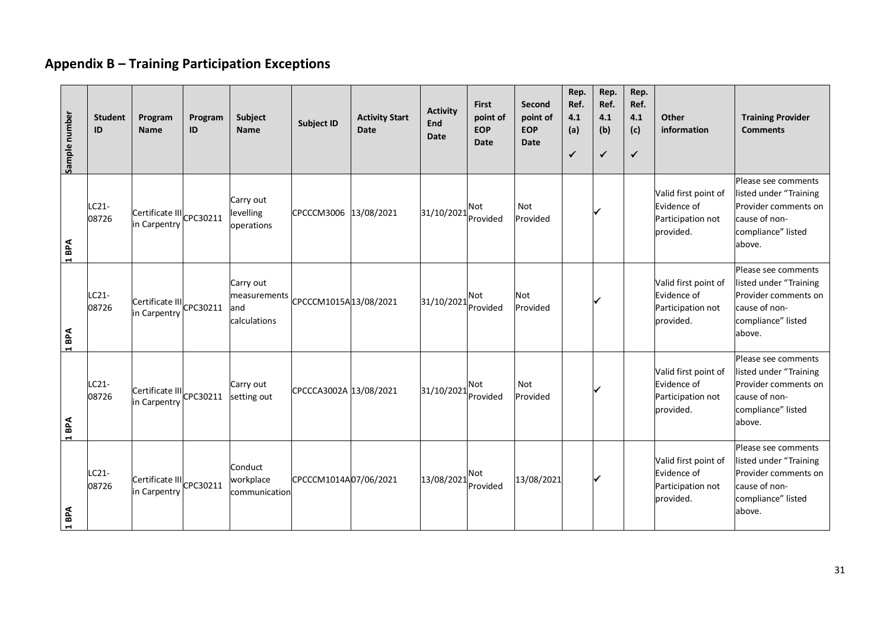# **Appendix B – Training Participation Exceptions**

<span id="page-30-0"></span>

| Sample number         | <b>Student</b><br>ID | Program<br><b>Name</b>                                 | Program<br>ID | Subject<br><b>Name</b>                            | <b>Subject ID</b>      | <b>Activity Start</b><br>Date | <b>Activity</b><br><b>End</b><br>Date | <b>First</b><br>point of<br><b>EOP</b><br>Date | Second<br>point of<br><b>EOP</b><br><b>Date</b> | Rep.<br>Ref.<br>4.1<br>(a)<br>$\checkmark$ | Rep.<br>Ref.<br>4.1<br>(b)<br>$\checkmark$ | Rep.<br>Ref.<br>4.1<br>(c)<br>$\checkmark$ | Other<br>information                                                  | <b>Training Provider</b><br><b>Comments</b>                                                                            |
|-----------------------|----------------------|--------------------------------------------------------|---------------|---------------------------------------------------|------------------------|-------------------------------|---------------------------------------|------------------------------------------------|-------------------------------------------------|--------------------------------------------|--------------------------------------------|--------------------------------------------|-----------------------------------------------------------------------|------------------------------------------------------------------------------------------------------------------------|
| BPA<br>$\blacksquare$ | LC21-<br>08726       | Certificate III CPC30211<br>in Carpentry               |               | Carry out<br>levelling<br>operations              | CPCCCM3006 13/08/2021  |                               | 31/10/2021                            | <b>Not</b><br>Provided                         | <b>Not</b><br>Provided                          |                                            |                                            |                                            | Valid first point of<br>Evidence of<br>Participation not<br>provided. | Please see comments<br>listed under "Training<br>Provider comments on<br>cause of non-<br>compliance" listed<br>above. |
| 1 <sub>BPA</sub>      | LC21-<br>08726       | $ {\sf{Cert}ificate \, III} $ CPC30211<br>in Carpentry |               | Carry out<br>measurements<br>land<br>calculations | CPCCCM1015A13/08/2021  |                               | 31/10/2021                            | Not<br>Provided                                | <b>Not</b><br>Provided                          |                                            |                                            |                                            | Valid first point of<br>Evidence of<br>Participation not<br>provided. | Please see comments<br>listed under "Training<br>Provider comments on<br>cause of non-<br>compliance" listed<br>above. |
| BPA<br>$\blacksquare$ | LC21-<br>08726       | Certificate III CPC30211<br>in Carpentry               |               | Carry out<br>setting out                          | CPCCCA3002A 13/08/2021 |                               | 31/10/2021                            | <b>Not</b><br>Provided                         | Not<br>Provided                                 |                                            |                                            |                                            | Valid first point of<br>Evidence of<br>Participation not<br>provided. | Please see comments<br>listed under "Training<br>Provider comments on<br>cause of non-<br>compliance" listed<br>above. |
| BPA<br>$\blacksquare$ | LC21-<br>08726       | Certificate III CPC30211<br>in Carpentry               |               | Conduct<br>workplace<br>communication             | CPCCCM1014A07/06/2021  |                               | $ 13/08/2021 $ <sup>Not</sup>         | Provided                                       | 13/08/2021                                      |                                            |                                            |                                            | Valid first point of<br>Evidence of<br>Participation not<br>provided. | Please see comments<br>listed under "Training<br>Provider comments on<br>cause of non-<br>compliance" listed<br>above. |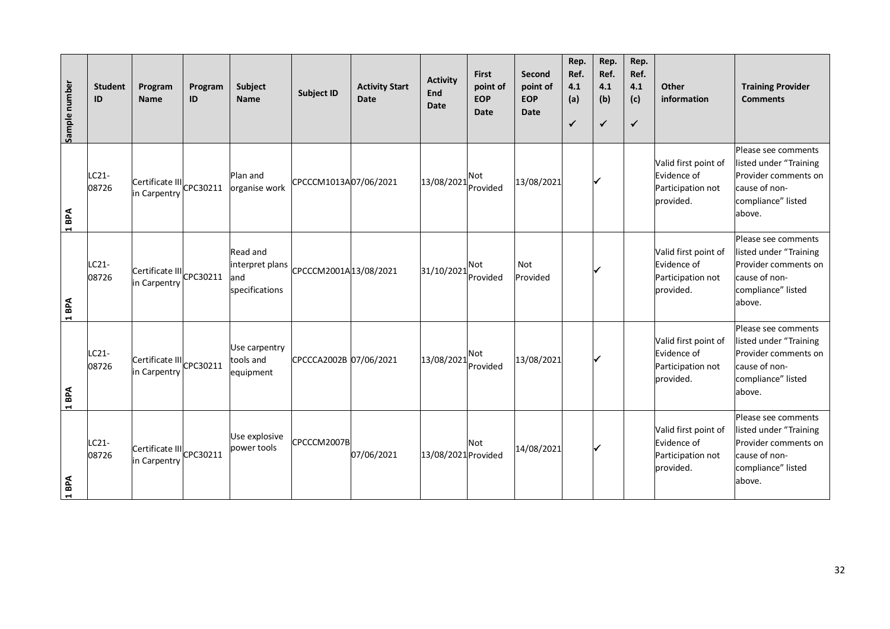| Sample number         | <b>Student</b><br>ID | Program<br><b>Name</b>                   | Program<br>ID | Subject<br><b>Name</b>                                      | <b>Subject ID</b>      | <b>Activity Start</b><br><b>Date</b> | <b>Activity</b><br>End<br><b>Date</b> | <b>First</b><br>point of<br><b>EOP</b><br>Date | Second<br>point of<br><b>EOP</b><br><b>Date</b> | Rep.<br>Ref.<br>4.1<br>(a)<br>$\checkmark$ | Rep.<br>Ref.<br>4.1<br>(b)<br>$\checkmark$ | Rep.<br>Ref.<br>4.1<br>(c)<br>$\checkmark$ | Other<br>information                                                  | <b>Training Provider</b><br><b>Comments</b>                                                                            |
|-----------------------|----------------------|------------------------------------------|---------------|-------------------------------------------------------------|------------------------|--------------------------------------|---------------------------------------|------------------------------------------------|-------------------------------------------------|--------------------------------------------|--------------------------------------------|--------------------------------------------|-----------------------------------------------------------------------|------------------------------------------------------------------------------------------------------------------------|
| 1 BPA                 | LC21-<br>08726       | Certificate III CPC30211<br>in Carpentry |               | Plan and<br>organise work                                   | CPCCCM1013A07/06/2021  |                                      | 13/08/2021                            | <b>Not</b><br>Provided                         | 13/08/2021                                      |                                            |                                            |                                            | Valid first point of<br>Evidence of<br>Participation not<br>provided. | Please see comments<br>listed under "Training<br>Provider comments on<br>cause of non-<br>compliance" listed<br>above. |
| 1 BPA                 | LC21-<br>08726       | Certificate III CPC30211<br>in Carpentry |               | <b>Read and</b><br>interpret plans<br>and<br>specifications | CPCCCM2001A13/08/2021  |                                      | 31/10/2021                            | <b>Not</b><br>Provided                         | Not<br>Provided                                 |                                            |                                            |                                            | Valid first point of<br>Evidence of<br>Participation not<br>provided. | Please see comments<br>listed under "Training<br>Provider comments on<br>cause of non-<br>compliance" listed<br>above. |
| 1 <sub>BPA</sub>      | $LC21-$<br>08726     | Certificate III CPC30211<br>in Carpentry |               | Use carpentry<br>tools and<br>equipment                     | CPCCCA2002B 07/06/2021 |                                      | 13/08/2021                            | Not<br>Provided                                | 13/08/2021                                      |                                            |                                            |                                            | Valid first point of<br>Evidence of<br>Participation not<br>provided. | Please see comments<br>listed under "Training<br>Provider comments on<br>cause of non-<br>compliance" listed<br>above. |
| BPA<br>$\blacksquare$ | $LC21-$<br>08726     | Certificate III<br>in Carpentry CPC30211 |               | Use explosive<br>power tools                                | CPCCCM2007B            | 07/06/2021                           | 13/08/2021 Provided                   | Not                                            | 14/08/2021                                      |                                            |                                            |                                            | Valid first point of<br>Evidence of<br>Participation not<br>provided. | Please see comments<br>listed under "Training<br>Provider comments on<br>cause of non-<br>compliance" listed<br>above. |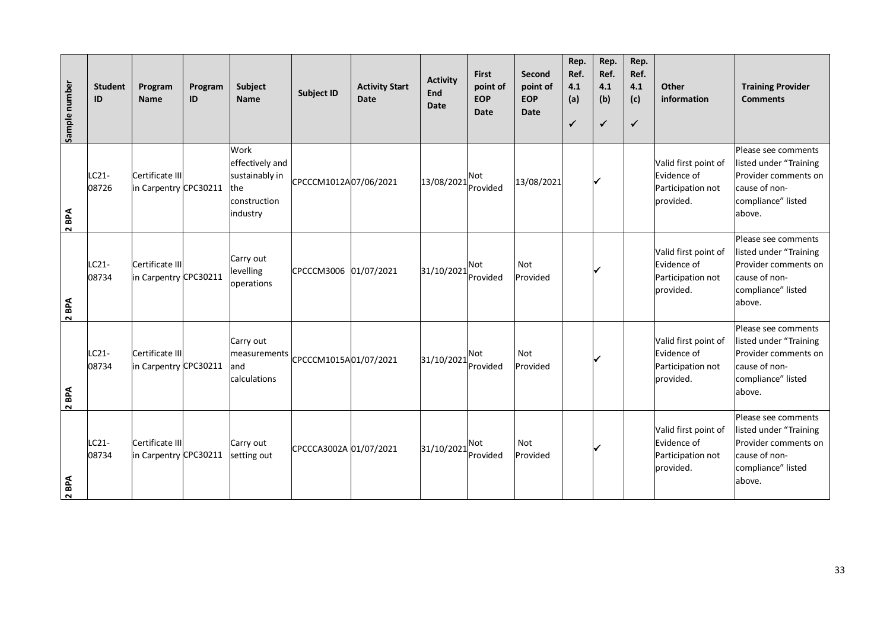| Sample number | <b>Student</b><br>ID | Program<br><b>Name</b>                   | Program<br>ID | Subject<br><b>Name</b>                                                       | <b>Subject ID</b>      | <b>Activity Start</b><br><b>Date</b> | <b>Activity</b><br>End<br><b>Date</b> | <b>First</b><br>point of<br><b>EOP</b><br>Date | Second<br>point of<br><b>EOP</b><br><b>Date</b> | Rep.<br>Ref.<br>4.1<br>(a)<br>$\checkmark$ | Rep.<br>Ref.<br>4.1<br>(b)<br>$\checkmark$ | Rep.<br>Ref.<br>4.1<br>(c)<br>$\checkmark$ | Other<br>information                                                  | <b>Training Provider</b><br><b>Comments</b>                                                                            |
|---------------|----------------------|------------------------------------------|---------------|------------------------------------------------------------------------------|------------------------|--------------------------------------|---------------------------------------|------------------------------------------------|-------------------------------------------------|--------------------------------------------|--------------------------------------------|--------------------------------------------|-----------------------------------------------------------------------|------------------------------------------------------------------------------------------------------------------------|
| BPA<br>$\sim$ | LC21-<br>08726       | Certificate III<br>in Carpentry CPC30211 |               | Work<br>effectively and<br>sustainably in<br>the<br>construction<br>industry | CPCCCM1012A07/06/2021  |                                      | 13/08/2021                            | <b>Not</b><br>Provided                         | 13/08/2021                                      |                                            |                                            |                                            | Valid first point of<br>Evidence of<br>Participation not<br>provided. | Please see comments<br>listed under "Training<br>Provider comments on<br>cause of non-<br>compliance" listed<br>above. |
| BPA<br>$\sim$ | $LC21-$<br>08734     | Certificate III<br>in Carpentry CPC30211 |               | Carry out<br>levelling<br>operations                                         | CPCCCM3006             | 01/07/2021                           | 31/10/2021                            | <b>Not</b><br>Provided                         | Not<br>Provided                                 |                                            |                                            |                                            | Valid first point of<br>Evidence of<br>Participation not<br>provided. | Please see comments<br>listed under "Training<br>Provider comments on<br>cause of non-<br>compliance" listed<br>above. |
| BPA<br>$\sim$ | LC21-<br>08734       | Certificate III<br>in Carpentry CPC30211 |               | Carry out<br>measurements<br>and<br>calculations                             | CPCCCM1015A01/07/2021  |                                      | 31/10/2021                            | <b>Not</b><br>Provided                         | Not<br>Provided                                 |                                            |                                            |                                            | Valid first point of<br>Evidence of<br>Participation not<br>provided. | Please see comments<br>listed under "Training<br>Provider comments on<br>cause of non-<br>compliance" listed<br>above. |
| BPA<br>$\sim$ | LC21-<br>08734       | Certificate III<br>in Carpentry CPC30211 |               | Carry out<br>setting out                                                     | CPCCCA3002A 01/07/2021 |                                      | 31/10/2021                            | <b>Not</b><br>Provided                         | Not<br>Provided                                 |                                            |                                            |                                            | Valid first point of<br>Evidence of<br>Participation not<br>provided. | Please see comments<br>listed under "Training<br>Provider comments on<br>cause of non-<br>compliance" listed<br>above. |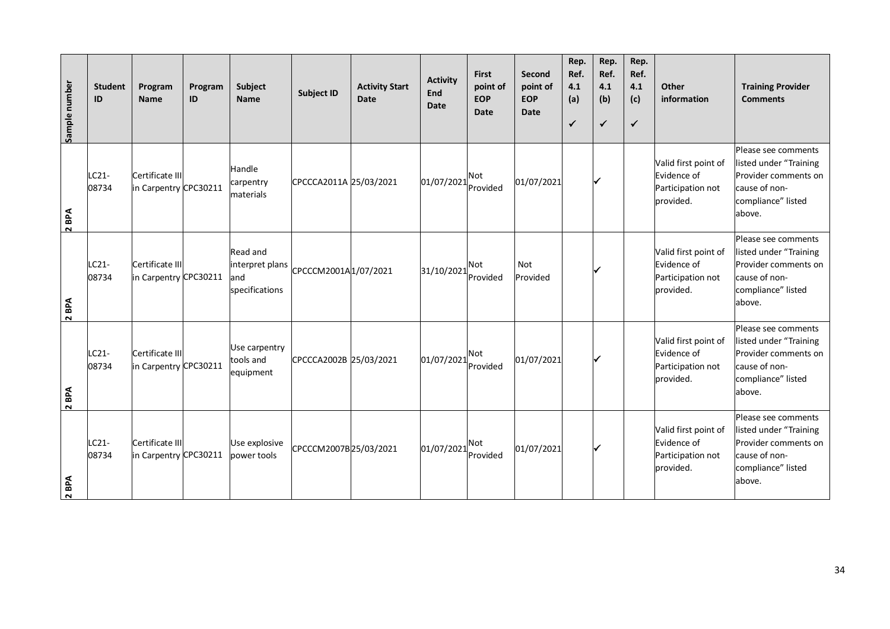| Sample number | <b>Student</b><br>ID | Program<br><b>Name</b>                   | Program<br>ID | Subject<br><b>Name</b>                                | <b>Subject ID</b>      | <b>Activity Start</b><br><b>Date</b> | <b>Activity</b><br>End<br><b>Date</b> | <b>First</b><br>point of<br><b>EOP</b><br>Date | Second<br>point of<br><b>EOP</b><br><b>Date</b> | Rep.<br>Ref.<br>4.1<br>(a)<br>$\checkmark$ | Rep.<br>Ref.<br>4.1<br>(b)<br>$\checkmark$ | Rep.<br>Ref.<br>4.1<br>(c)<br>$\checkmark$ | Other<br>information                                                  | <b>Training Provider</b><br><b>Comments</b>                                                                             |
|---------------|----------------------|------------------------------------------|---------------|-------------------------------------------------------|------------------------|--------------------------------------|---------------------------------------|------------------------------------------------|-------------------------------------------------|--------------------------------------------|--------------------------------------------|--------------------------------------------|-----------------------------------------------------------------------|-------------------------------------------------------------------------------------------------------------------------|
| 2 BPA         | LC21-<br>08734       | Certificate III<br>in Carpentry CPC30211 |               | Handle<br>carpentry<br>materials                      | CPCCCA2011A 25/03/2021 |                                      | 01/07/2021                            | <b>Not</b><br>Provided                         | 01/07/2021                                      |                                            |                                            |                                            | Valid first point of<br>Evidence of<br>Participation not<br>provided. | Please see comments<br>listed under "Training<br>Provider comments on<br>cause of non-<br>compliance" listed<br>above.  |
| BPA<br>$\sim$ | $LC21-$<br>08734     | Certificate III<br>in Carpentry CPC30211 |               | Read and<br>interpret plans<br>land<br>specifications | CPCCCM2001A1/07/2021   |                                      | 31/10/2021                            | <b>Not</b><br>Provided                         | Not<br>Provided                                 |                                            |                                            |                                            | Valid first point of<br>Evidence of<br>Participation not<br>provided. | Please see comments<br>listed under "Training<br>Provider comments on<br>cause of non-<br>compliance" listed<br>labove. |
| 2 BPA         | LC21-<br>08734       | Certificate III<br>in Carpentry CPC30211 |               | Use carpentry<br>tools and<br>equipment               | CPCCCA2002B 25/03/2021 |                                      | 01/07/2021                            | <b>Not</b><br>Provided                         | 01/07/2021                                      |                                            |                                            |                                            | Valid first point of<br>Evidence of<br>Participation not<br>provided. | Please see comments<br>listed under "Training<br>Provider comments on<br>cause of non-<br>compliance" listed<br>above.  |
| BPA<br>$\sim$ | LC21-<br>08734       | Certificate III<br>in Carpentry CPC30211 |               | Use explosive<br>power tools                          | CPCCCM2007B 25/03/2021 |                                      | 01/07/2021                            | <b>Not</b><br>Provided                         | 01/07/2021                                      |                                            |                                            |                                            | Valid first point of<br>Evidence of<br>Participation not<br>provided. | Please see comments<br>listed under "Training<br>Provider comments on<br>cause of non-<br>compliance" listed<br>above.  |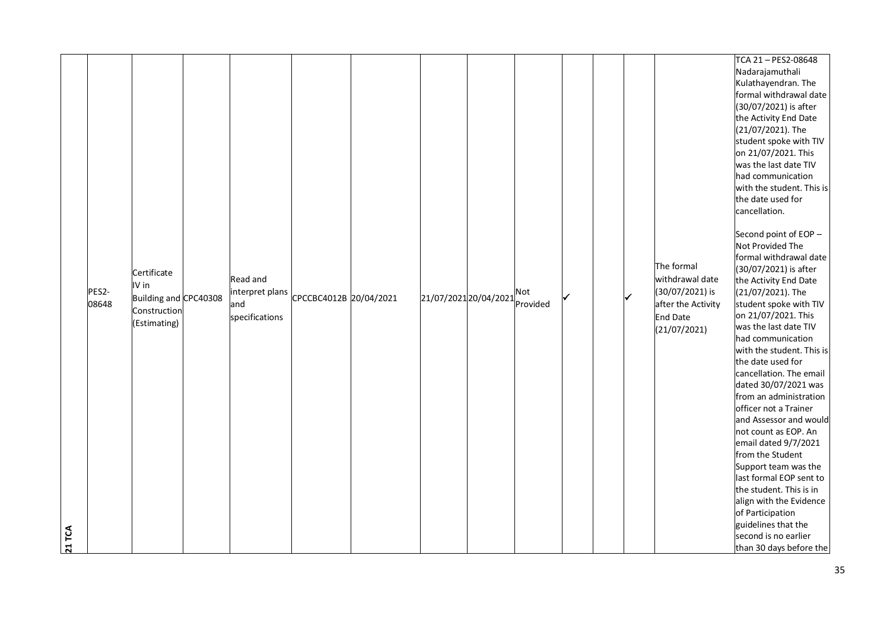|        |       |                                               |                             |                        |                           |              |              |                                                       | TCA 21-PES2-08648<br>Nadarajamuthali<br>Kulathayendran. The<br>formal withdrawal date<br>(30/07/2021) is after<br>the Activity End Date<br>(21/07/2021). The<br>student spoke with TIV<br>on 21/07/2021. This                                                                                                                                                                                        |
|--------|-------|-----------------------------------------------|-----------------------------|------------------------|---------------------------|--------------|--------------|-------------------------------------------------------|------------------------------------------------------------------------------------------------------------------------------------------------------------------------------------------------------------------------------------------------------------------------------------------------------------------------------------------------------------------------------------------------------|
|        | PES2- | Certificate<br>IV in<br>Building and CPC40308 | Read and<br>interpret plans | CPCCBC4012B 20/04/2021 | 21/07/2021 20/04/2021 Not | $\checkmark$ | $\checkmark$ | The formal<br>withdrawal date<br>(30/07/2021) is      | was the last date TIV<br>had communication<br>with the student. This is<br>the date used for<br>cancellation.<br>Second point of EOP -<br>Not Provided The<br>formal withdrawal date<br>(30/07/2021) is after<br>the Activity End Date<br>(21/07/2021). The                                                                                                                                          |
|        | 08648 | Construction<br>(Estimating)                  | and<br>specifications       |                        |                           |              |              | after the Activity<br><b>End Date</b><br>(21/07/2021) | student spoke with TIV<br>on 21/07/2021. This<br>was the last date TIV<br>had communication<br>with the student. This is<br>the date used for<br>cancellation. The email<br>dated 30/07/2021 was<br>from an administration<br>officer not a Trainer<br>and Assessor and would<br>not count as EOP. An<br>email dated 9/7/2021<br>from the Student<br>Support team was the<br>last formal EOP sent to |
| 21 TCA |       |                                               |                             |                        |                           |              |              |                                                       | the student. This is in<br>align with the Evidence<br>of Participation<br>guidelines that the<br>second is no earlier<br>than 30 days before the                                                                                                                                                                                                                                                     |